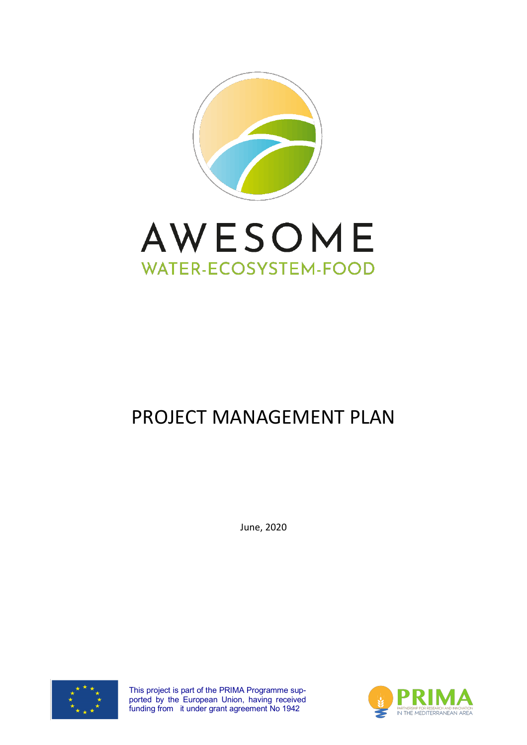



# PROJECT MANAGEMENT PLAN

June, 2020



This project is part of the PRIMA Programme supported by the European Union, having received funding from it under grant agreement No 1942

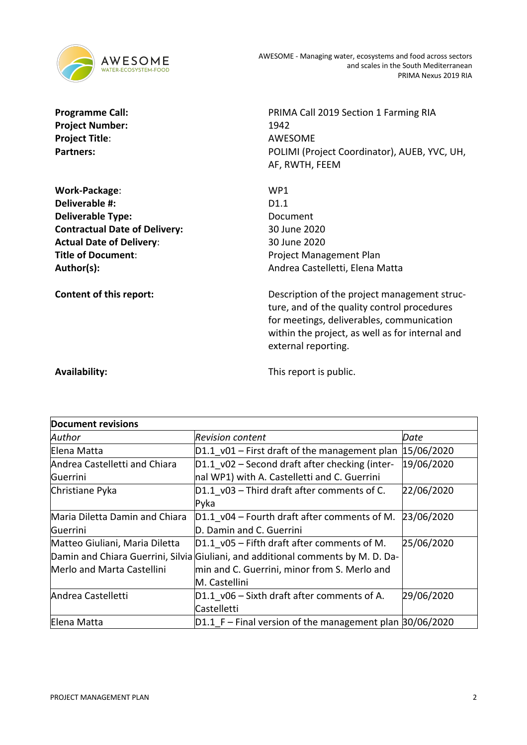

Project Number: 1942 **Project Title**: AWESOME

**Work-Package**: WP1 **Deliverable #:** D1.1 **Deliverable Type:** Document **Contractual Date of Delivery:** 30 June 2020 **Actual Date of Delivery**: 30 June 2020 **Title of Document:** Project Management Plan

**Programme Call:** PRIMA Call 2019 Section 1 Farming RIA Partners: **Partners:** POLIMI (Project Coordinator), AUEB, YVC, UH, AF, RWTH, FEEM

Author(s): Author(s): Andrea Castelletti, Elena Matta

**Content of this report:** Description of the project management structure, and of the quality control procedures for meetings, deliverables, communication within the project, as well as for internal and external reporting.

**Availability:**  $\qquad \qquad$  This report is public.

| <b>Document revisions</b>      |                                                                                  |            |
|--------------------------------|----------------------------------------------------------------------------------|------------|
| Author                         | Revision content                                                                 | Date       |
| Elena Matta                    | $D1.1$ v01 – First draft of the management plan                                  | 15/06/2020 |
| Andrea Castelletti and Chiara  | $D1.1$ v02 – Second draft after checking (inter-                                 | 19/06/2020 |
| Guerrini                       | nal WP1) with A. Castelletti and C. Guerrini                                     |            |
| Christiane Pyka                | D1.1 v03 - Third draft after comments of C.                                      | 22/06/2020 |
|                                | Pyka                                                                             |            |
| Maria Diletta Damin and Chiara | D1.1 v04 – Fourth draft after comments of M.                                     | 23/06/2020 |
| Guerrini                       | D. Damin and C. Guerrini                                                         |            |
| Matteo Giuliani, Maria Diletta | $ D1.1 $ v05 – Fifth draft after comments of M.                                  | 25/06/2020 |
|                                | Damin and Chiara Guerrini, Silvia Giuliani, and additional comments by M. D. Da- |            |
| Merlo and Marta Castellini     | min and C. Guerrini, minor from S. Merlo and                                     |            |
|                                | M. Castellini                                                                    |            |
| Andrea Castelletti             | D1.1 v06 - Sixth draft after comments of A.                                      | 29/06/2020 |
|                                | Castelletti                                                                      |            |
| Elena Matta                    | $D1.1$ F – Final version of the management plan $30/06/2020$                     |            |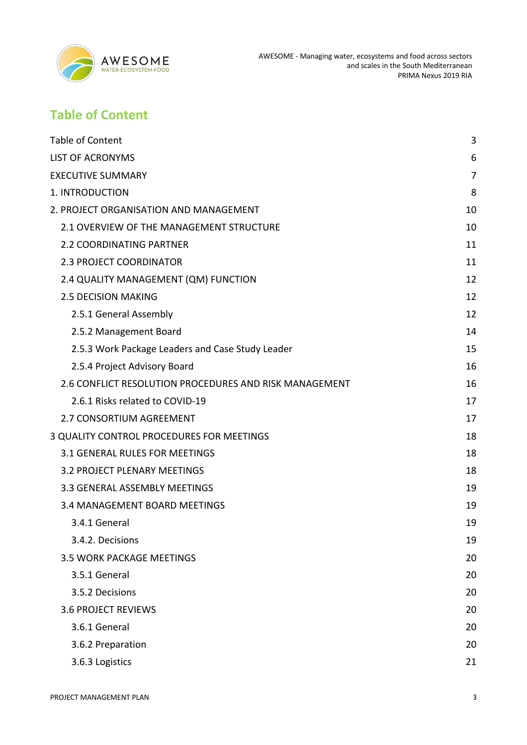

# **Table of Content**

| <b>Table of Content</b>                                | 3              |
|--------------------------------------------------------|----------------|
|                                                        |                |
| <b>LIST OF ACRONYMS</b>                                | 6              |
| <b>EXECUTIVE SUMMARY</b>                               | $\overline{7}$ |
| 1. INTRODUCTION                                        | 8              |
| 2. PROJECT ORGANISATION AND MANAGEMENT                 | 10             |
| 2.1 OVERVIEW OF THE MANAGEMENT STRUCTURE               | 10             |
| 2.2 COORDINATING PARTNER                               | 11             |
| 2.3 PROJECT COORDINATOR                                | 11             |
| 2.4 QUALITY MANAGEMENT (QM) FUNCTION                   | 12             |
| <b>2.5 DECISION MAKING</b>                             | 12             |
| 2.5.1 General Assembly                                 | 12             |
| 2.5.2 Management Board                                 | 14             |
| 2.5.3 Work Package Leaders and Case Study Leader       | 15             |
| 2.5.4 Project Advisory Board                           | 16             |
| 2.6 CONFLICT RESOLUTION PROCEDURES AND RISK MANAGEMENT | 16             |
| 2.6.1 Risks related to COVID-19                        | 17             |
| 2.7 CONSORTIUM AGREEMENT                               | 17             |
| 3 QUALITY CONTROL PROCEDURES FOR MEETINGS              | 18             |
| 3.1 GENERAL RULES FOR MEETINGS                         | 18             |
| <b>3.2 PROJECT PLENARY MEETINGS</b>                    | 18             |
| 3.3 GENERAL ASSEMBLY MEETINGS                          | 19             |
| 3.4 MANAGEMENT BOARD MEETINGS                          | 19             |
| 3.4.1 General                                          | 19             |
| 3.4.2. Decisions                                       | 19             |
| <b>3.5 WORK PACKAGE MEETINGS</b>                       | 20             |
| 3.5.1 General                                          | 20             |
| 3.5.2 Decisions                                        | 20             |
| <b>3.6 PROJECT REVIEWS</b>                             | 20             |
| 3.6.1 General                                          | 20             |
| 3.6.2 Preparation                                      | 20             |
| 3.6.3 Logistics                                        | 21             |
|                                                        |                |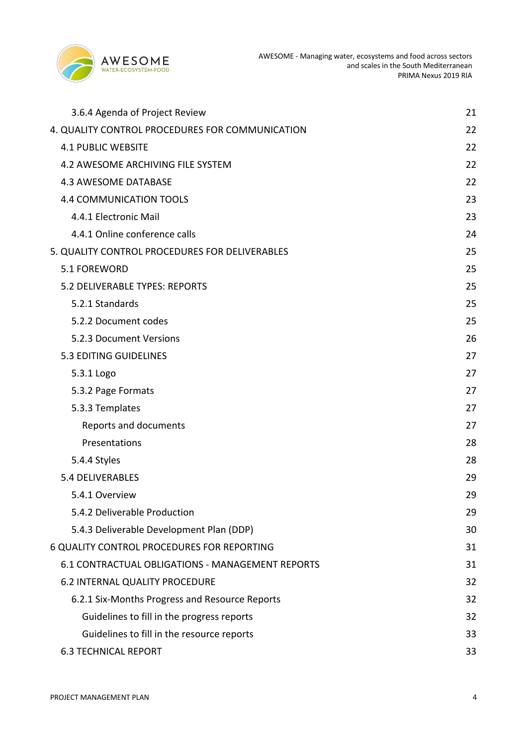

| 3.6.4 Agenda of Project Review                   | 21 |
|--------------------------------------------------|----|
| 4. QUALITY CONTROL PROCEDURES FOR COMMUNICATION  | 22 |
| <b>4.1 PUBLIC WEBSITE</b>                        | 22 |
| <b>4.2 AWESOME ARCHIVING FILE SYSTEM</b>         | 22 |
| <b>4.3 AWESOME DATABASE</b>                      | 22 |
| <b>4.4 COMMUNICATION TOOLS</b>                   | 23 |
| 4.4.1 Electronic Mail                            | 23 |
| 4.4.1 Online conference calls                    | 24 |
| 5. QUALITY CONTROL PROCEDURES FOR DELIVERABLES   | 25 |
| 5.1 FOREWORD                                     | 25 |
| 5.2 DELIVERABLE TYPES: REPORTS                   | 25 |
| 5.2.1 Standards                                  | 25 |
| 5.2.2 Document codes                             | 25 |
| 5.2.3 Document Versions                          | 26 |
| <b>5.3 EDITING GUIDELINES</b>                    | 27 |
| 5.3.1 Logo                                       | 27 |
| 5.3.2 Page Formats                               | 27 |
| 5.3.3 Templates                                  | 27 |
| Reports and documents                            | 27 |
| Presentations                                    | 28 |
| 5.4.4 Styles                                     | 28 |
| 5.4 DELIVERABLES                                 | 29 |
| 5.4.1 Overview                                   | 29 |
| 5.4.2 Deliverable Production                     | 29 |
| 5.4.3 Deliverable Development Plan (DDP)         | 30 |
| 6 QUALITY CONTROL PROCEDURES FOR REPORTING       | 31 |
| 6.1 CONTRACTUAL OBLIGATIONS - MANAGEMENT REPORTS | 31 |
| 6.2 INTERNAL QUALITY PROCEDURE                   | 32 |
| 6.2.1 Six-Months Progress and Resource Reports   | 32 |
| Guidelines to fill in the progress reports       | 32 |
| Guidelines to fill in the resource reports       | 33 |
| <b>6.3 TECHNICAL REPORT</b>                      | 33 |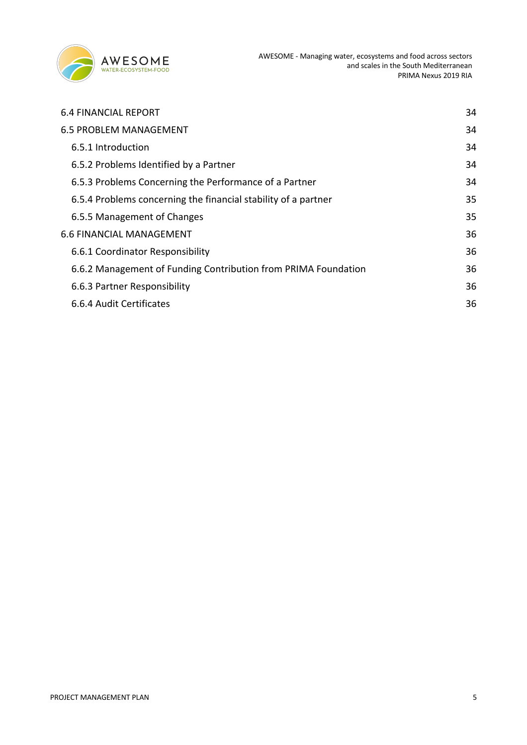

| <b>6.4 FINANCIAL REPORT</b>                                    | 34 |
|----------------------------------------------------------------|----|
| <b>6.5 PROBLEM MANAGEMENT</b>                                  | 34 |
| 6.5.1 Introduction                                             | 34 |
| 6.5.2 Problems Identified by a Partner                         | 34 |
| 6.5.3 Problems Concerning the Performance of a Partner         | 34 |
| 6.5.4 Problems concerning the financial stability of a partner | 35 |
| 6.5.5 Management of Changes                                    | 35 |
| <b>6.6 FINANCIAL MANAGEMENT</b>                                | 36 |
| 6.6.1 Coordinator Responsibility                               | 36 |
| 6.6.2 Management of Funding Contribution from PRIMA Foundation | 36 |
| 6.6.3 Partner Responsibility                                   | 36 |
| 6.6.4 Audit Certificates                                       | 36 |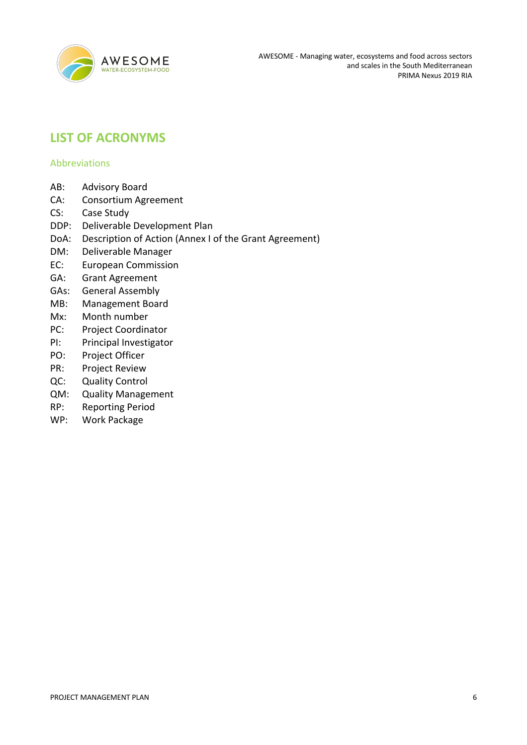

# **LIST OF ACRONYMS**

### Abbreviations

- AB: Advisory Board
- CA: Consortium Agreement
- CS: Case Study
- DDP: Deliverable Development Plan
- DoA: Description of Action (Annex I of the Grant Agreement)
- DM: Deliverable Manager
- EC: European Commission
- GA: Grant Agreement
- GAs: General Assembly
- MB: Management Board
- Mx: Month number
- PC: Project Coordinator
- PI: Principal Investigator
- PO: Project Officer
- PR: Project Review
- QC: Quality Control
- QM: Quality Management
- RP: Reporting Period
- WP: Work Package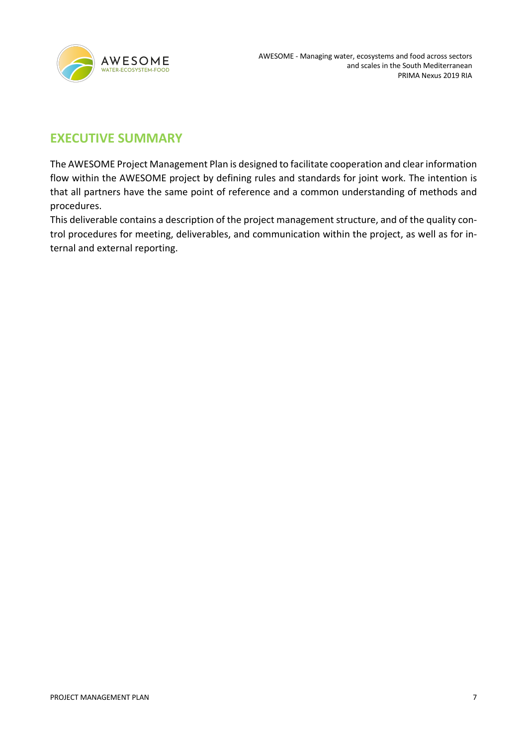

# **EXECUTIVE SUMMARY**

The AWESOME Project Management Plan is designed to facilitate cooperation and clear information flow within the AWESOME project by defining rules and standards for joint work. The intention is that all partners have the same point of reference and a common understanding of methods and procedures.

This deliverable contains a description of the project management structure, and of the quality control procedures for meeting, deliverables, and communication within the project, as well as for internal and external reporting.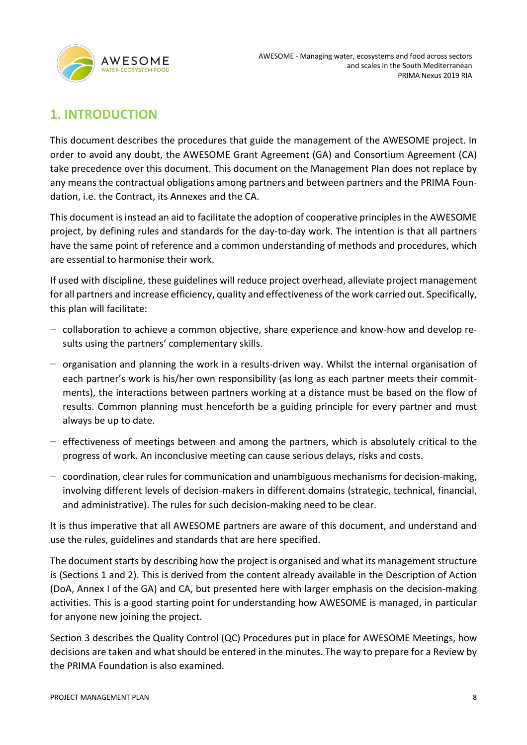

# **1. INTRODUCTION**

This document describes the procedures that guide the management of the AWESOME project. In order to avoid any doubt, the AWESOME Grant Agreement (GA) and Consortium Agreement (CA) take precedence over this document. This document on the Management Plan does not replace by any means the contractual obligations among partners and between partners and the PRIMA Foundation, i.e. the Contract, its Annexes and the CA.

This document is instead an aid to facilitate the adoption of cooperative principles in the AWESOME project, by defining rules and standards for the day-to-day work. The intention is that all partners have the same point of reference and a common understanding of methods and procedures, which are essential to harmonise their work.

If used with discipline, these guidelines will reduce project overhead, alleviate project management for all partners and increase efficiency, quality and effectiveness of the work carried out. Specifically, this plan will facilitate:

- − collaboration to achieve a common objective, share experience and know-how and develop results using the partners' complementary skills.
- − organisation and planning the work in a results-driven way. Whilst the internal organisation of each partner's work is his/her own responsibility (as long as each partner meets their commitments), the interactions between partners working at a distance must be based on the flow of results. Common planning must henceforth be a guiding principle for every partner and must always be up to date.
- − effectiveness of meetings between and among the partners, which is absolutely critical to the progress of work. An inconclusive meeting can cause serious delays, risks and costs.
- − coordination, clear rules for communication and unambiguous mechanisms for decision-making, involving different levels of decision-makers in different domains (strategic, technical, financial, and administrative). The rules for such decision-making need to be clear.

It is thus imperative that all AWESOME partners are aware of this document, and understand and use the rules, guidelines and standards that are here specified.

The document starts by describing how the project is organised and what its management structure is (Sections 1 and 2). This is derived from the content already available in the Description of Action (DoA, Annex I of the GA) and CA, but presented here with larger emphasis on the decision-making activities. This is a good starting point for understanding how AWESOME is managed, in particular for anyone new joining the project.

Section 3 describes the Quality Control (QC) Procedures put in place for AWESOME Meetings, how decisions are taken and what should be entered in the minutes. The way to prepare for a Review by the PRIMA Foundation is also examined.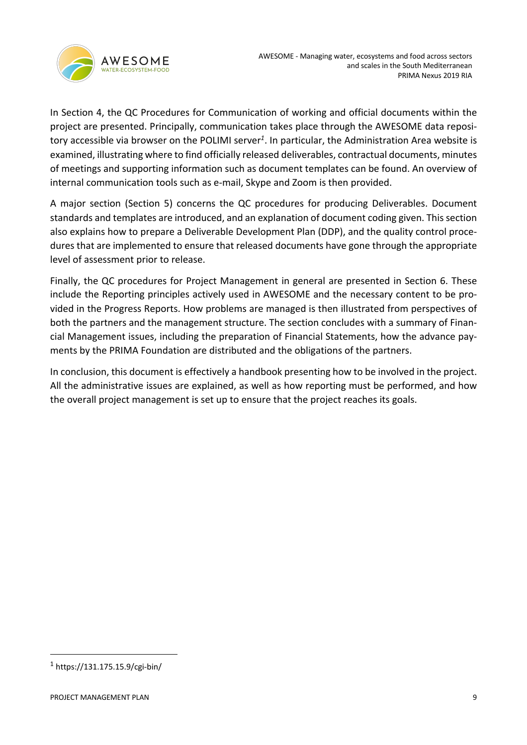In Section 4, the QC Procedures for Communication of working and official documents within the project are presented. Principally, communication takes place through the AWESOME data repository accessible via browser on the POLIMI server*<sup>1</sup>*. In particular, the Administration Area website is examined, illustrating where to find officially released deliverables, contractual documents, minutes of meetings and supporting information such as document templates can be found. An overview of internal communication tools such as e-mail, Skype and Zoom is then provided.

A major section (Section 5) concerns the QC procedures for producing Deliverables. Document standards and templates are introduced, and an explanation of document coding given. This section also explains how to prepare a Deliverable Development Plan (DDP), and the quality control procedures that are implemented to ensure that released documents have gone through the appropriate level of assessment prior to release.

Finally, the QC procedures for Project Management in general are presented in Section 6. These include the Reporting principles actively used in AWESOME and the necessary content to be provided in the Progress Reports. How problems are managed is then illustrated from perspectives of both the partners and the management structure. The section concludes with a summary of Financial Management issues, including the preparation of Financial Statements, how the advance payments by the PRIMA Foundation are distributed and the obligations of the partners.

In conclusion, this document is effectively a handbook presenting how to be involved in the project. All the administrative issues are explained, as well as how reporting must be performed, and how the overall project management is set up to ensure that the project reaches its goals.

 $1$  https://131.175.15.9/cgi-bin/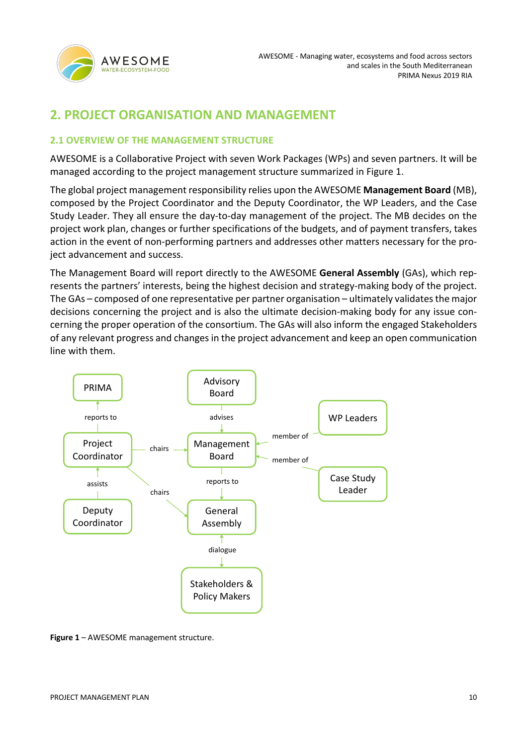

# **2. PROJECT ORGANISATION AND MANAGEMENT**

### **2.1 OVERVIEW OF THE MANAGEMENT STRUCTURE**

AWESOME is a Collaborative Project with seven Work Packages (WPs) and seven partners. It will be managed according to the project management structure summarized in Figure 1.

The global project management responsibility relies upon the AWESOME **Management Board** (MB), composed by the Project Coordinator and the Deputy Coordinator, the WP Leaders, and the Case Study Leader. They all ensure the day-to-day management of the project. The MB decides on the project work plan, changes or further specifications of the budgets, and of payment transfers, takes action in the event of non-performing partners and addresses other matters necessary for the project advancement and success.

The Management Board will report directly to the AWESOME **General Assembly** (GAs), which represents the partners' interests, being the highest decision and strategy-making body of the project. The GAs – composed of one representative per partner organisation – ultimately validates the major decisions concerning the project and is also the ultimate decision-making body for any issue concerning the proper operation of the consortium. The GAs will also inform the engaged Stakeholders of any relevant progress and changes in the project advancement and keep an open communication line with them.



**Figure 1** – AWESOME management structure.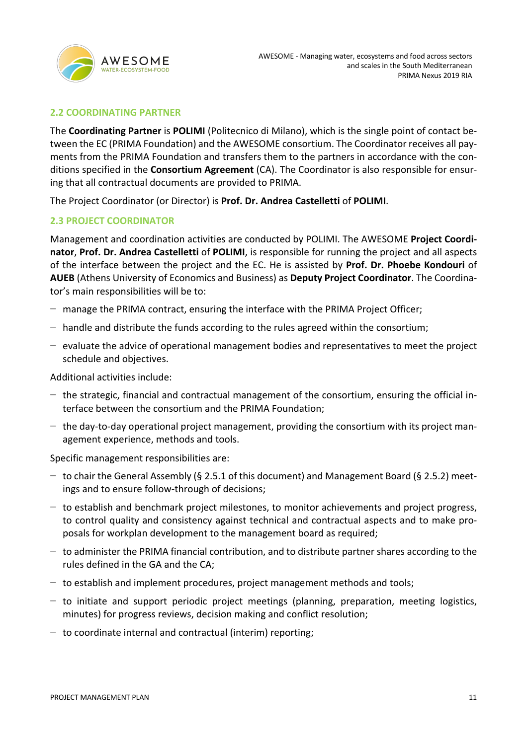

### **2.2 COORDINATING PARTNER**

The **Coordinating Partner** is **POLIMI** (Politecnico di Milano), which is the single point of contact between the EC (PRIMA Foundation) and the AWESOME consortium. The Coordinator receives all payments from the PRIMA Foundation and transfers them to the partners in accordance with the conditions specified in the **Consortium Agreement** (CA). The Coordinator is also responsible for ensuring that all contractual documents are provided to PRIMA.

The Project Coordinator (or Director) is **Prof. Dr. Andrea Castelletti** of **POLIMI**.

### **2.3 PROJECT COORDINATOR**

Management and coordination activities are conducted by POLIMI. The AWESOME **Project Coordinator**, **Prof. Dr. Andrea Castelletti** of **POLIMI**, is responsible for running the project and all aspects of the interface between the project and the EC. He is assisted by **Prof. Dr. Phoebe Kondouri** of **AUEB** (Athens University of Economics and Business) as **Deputy Project Coordinator**. The Coordinator's main responsibilities will be to:

- − manage the PRIMA contract, ensuring the interface with the PRIMA Project Officer;
- − handle and distribute the funds according to the rules agreed within the consortium;
- − evaluate the advice of operational management bodies and representatives to meet the project schedule and objectives.

### Additional activities include:

- − the strategic, financial and contractual management of the consortium, ensuring the official interface between the consortium and the PRIMA Foundation;
- − the day-to-day operational project management, providing the consortium with its project management experience, methods and tools.

Specific management responsibilities are:

- − to chair the General Assembly (§ 2.5.1 of this document) and Management Board (§ 2.5.2) meetings and to ensure follow-through of decisions;
- − to establish and benchmark project milestones, to monitor achievements and project progress, to control quality and consistency against technical and contractual aspects and to make proposals for workplan development to the management board as required;
- − to administer the PRIMA financial contribution, and to distribute partner shares according to the rules defined in the GA and the CA;
- − to establish and implement procedures, project management methods and tools;
- − to initiate and support periodic project meetings (planning, preparation, meeting logistics, minutes) for progress reviews, decision making and conflict resolution;
- − to coordinate internal and contractual (interim) reporting;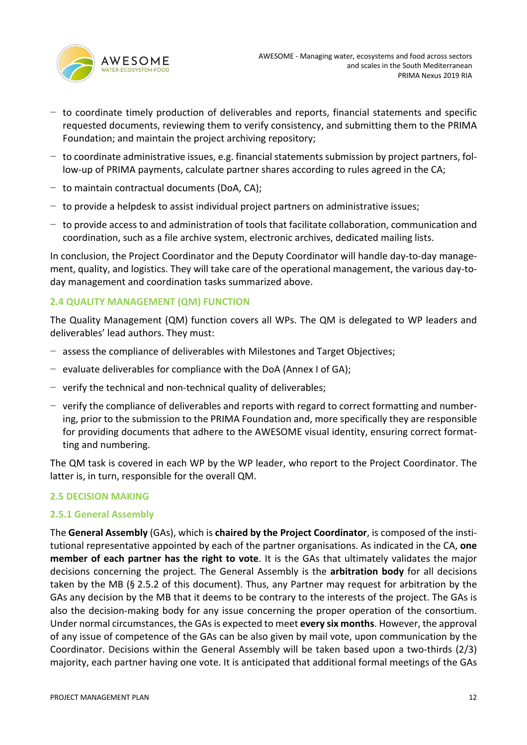

- − to coordinate timely production of deliverables and reports, financial statements and specific requested documents, reviewing them to verify consistency, and submitting them to the PRIMA Foundation; and maintain the project archiving repository;
- − to coordinate administrative issues, e.g. financial statements submission by project partners, follow-up of PRIMA payments, calculate partner shares according to rules agreed in the CA;
- − to maintain contractual documents (DoA, CA);
- − to provide a helpdesk to assist individual project partners on administrative issues;
- − to provide access to and administration of tools that facilitate collaboration, communication and coordination, such as a file archive system, electronic archives, dedicated mailing lists.

In conclusion, the Project Coordinator and the Deputy Coordinator will handle day-to-day management, quality, and logistics. They will take care of the operational management, the various day-today management and coordination tasks summarized above.

### **2.4 QUALITY MANAGEMENT (QM) FUNCTION**

The Quality Management (QM) function covers all WPs. The QM is delegated to WP leaders and deliverables' lead authors. They must:

- − assess the compliance of deliverables with Milestones and Target Objectives;
- − evaluate deliverables for compliance with the DoA (Annex I of GA);
- − verify the technical and non-technical quality of deliverables;
- − verify the compliance of deliverables and reports with regard to correct formatting and numbering, prior to the submission to the PRIMA Foundation and, more specifically they are responsible for providing documents that adhere to the AWESOME visual identity, ensuring correct formatting and numbering.

The QM task is covered in each WP by the WP leader, who report to the Project Coordinator. The latter is, in turn, responsible for the overall QM.

### **2.5 DECISION MAKING**

### **2.5.1 General Assembly**

The **General Assembly** (GAs), which is **chaired by the Project Coordinator**, is composed of the institutional representative appointed by each of the partner organisations. As indicated in the CA, **one member of each partner has the right to vote**. It is the GAs that ultimately validates the major decisions concerning the project. The General Assembly is the **arbitration body** for all decisions taken by the MB (§ 2.5.2 of this document). Thus, any Partner may request for arbitration by the GAs any decision by the MB that it deems to be contrary to the interests of the project. The GAs is also the decision-making body for any issue concerning the proper operation of the consortium. Under normal circumstances, the GAs is expected to meet **every six months**. However, the approval of any issue of competence of the GAs can be also given by mail vote, upon communication by the Coordinator. Decisions within the General Assembly will be taken based upon a two-thirds (2/3) majority, each partner having one vote. It is anticipated that additional formal meetings of the GAs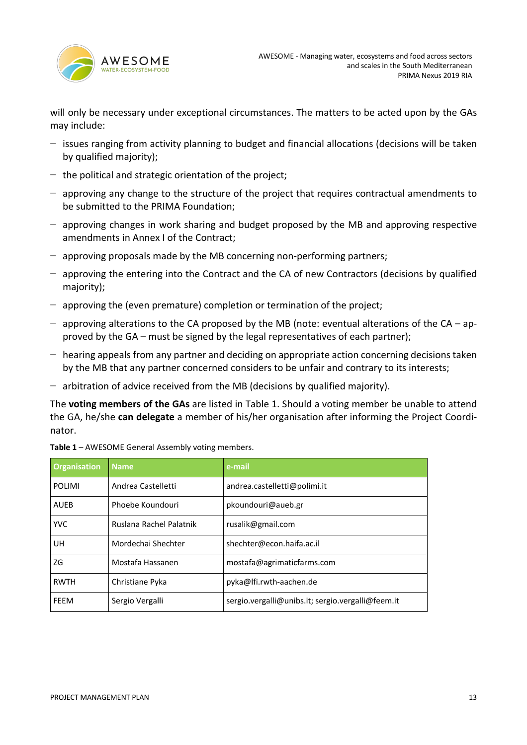

will only be necessary under exceptional circumstances. The matters to be acted upon by the GAs may include:

- − issues ranging from activity planning to budget and financial allocations (decisions will be taken by qualified majority);
- − the political and strategic orientation of the project;
- − approving any change to the structure of the project that requires contractual amendments to be submitted to the PRIMA Foundation;
- − approving changes in work sharing and budget proposed by the MB and approving respective amendments in Annex I of the Contract;
- − approving proposals made by the MB concerning non-performing partners;
- − approving the entering into the Contract and the CA of new Contractors (decisions by qualified majority);
- − approving the (even premature) completion or termination of the project;
- − approving alterations to the CA proposed by the MB (note: eventual alterations of the CA approved by the GA – must be signed by the legal representatives of each partner);
- − hearing appeals from any partner and deciding on appropriate action concerning decisions taken by the MB that any partner concerned considers to be unfair and contrary to its interests;
- − arbitration of advice received from the MB (decisions by qualified majority).

The **voting members of the GAs** are listed in Table 1. Should a voting member be unable to attend the GA, he/she **can delegate** a member of his/her organisation after informing the Project Coordinator.

| <b>Organisation</b> | <b>Name</b>             | e-mail                                            |
|---------------------|-------------------------|---------------------------------------------------|
| <b>POLIMI</b>       | Andrea Castelletti      | andrea.castelletti@polimi.it                      |
| <b>AUEB</b>         | Phoebe Koundouri        | pkoundouri@aueb.gr                                |
| <b>YVC</b>          | Ruslana Rachel Palatnik | rusalik@gmail.com                                 |
| UH                  | Mordechai Shechter      | shechter@econ.haifa.ac.il                         |
| ZG                  | Mostafa Hassanen        | mostafa@agrimaticfarms.com                        |
| <b>RWTH</b>         | Christiane Pyka         | pyka@lfi.rwth-aachen.de                           |
| FEEM                | Sergio Vergalli         | sergio.vergalli@unibs.it; sergio.vergalli@feem.it |

**Table 1** – AWESOME General Assembly voting members.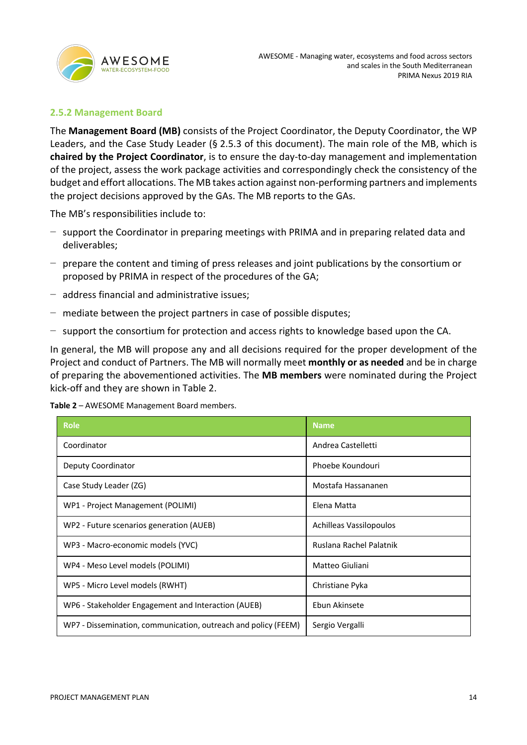

### **2.5.2 Management Board**

The **Management Board (MB)** consists of the Project Coordinator, the Deputy Coordinator, the WP Leaders, and the Case Study Leader (§ 2.5.3 of this document). The main role of the MB, which is **chaired by the Project Coordinator**, is to ensure the day-to-day management and implementation of the project, assess the work package activities and correspondingly check the consistency of the budget and effort allocations. The MB takes action against non-performing partners and implements the project decisions approved by the GAs. The MB reports to the GAs.

The MB's responsibilities include to:

- − support the Coordinator in preparing meetings with PRIMA and in preparing related data and deliverables;
- − prepare the content and timing of press releases and joint publications by the consortium or proposed by PRIMA in respect of the procedures of the GA;
- − address financial and administrative issues;
- − mediate between the project partners in case of possible disputes;
- − support the consortium for protection and access rights to knowledge based upon the CA.

In general, the MB will propose any and all decisions required for the proper development of the Project and conduct of Partners. The MB will normally meet **monthly or as needed** and be in charge of preparing the abovementioned activities. The **MB members** were nominated during the Project kick-off and they are shown in Table 2.

| Table 2 - AWESOME Management Board members. |  |  |
|---------------------------------------------|--|--|
|---------------------------------------------|--|--|

| <b>Role</b>                                                    | <b>Name</b>             |
|----------------------------------------------------------------|-------------------------|
| Coordinator                                                    | Andrea Castelletti      |
| Deputy Coordinator                                             | Phoebe Koundouri        |
| Case Study Leader (ZG)                                         | Mostafa Hassananen      |
| WP1 - Project Management (POLIMI)                              | Elena Matta             |
| WP2 - Future scenarios generation (AUEB)                       | Achilleas Vassilopoulos |
| WP3 - Macro-economic models (YVC)                              | Ruslana Rachel Palatnik |
| WP4 - Meso Level models (POLIMI)                               | Matteo Giuliani         |
| WP5 - Micro Level models (RWHT)                                | Christiane Pyka         |
| WP6 - Stakeholder Engagement and Interaction (AUEB)            | Ebun Akinsete           |
| WP7 - Dissemination, communication, outreach and policy (FEEM) | Sergio Vergalli         |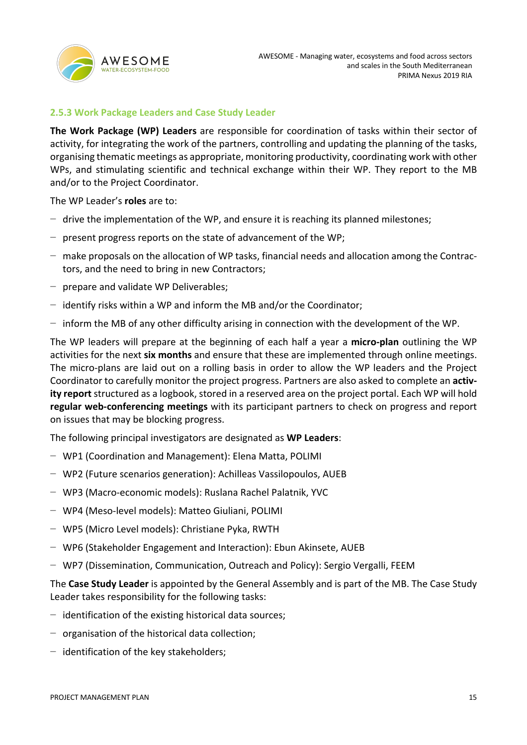

### **2.5.3 Work Package Leaders and Case Study Leader**

**The Work Package (WP) Leaders** are responsible for coordination of tasks within their sector of activity, for integrating the work of the partners, controlling and updating the planning of the tasks, organising thematic meetings as appropriate, monitoring productivity, coordinating work with other WPs, and stimulating scientific and technical exchange within their WP. They report to the MB and/or to the Project Coordinator.

The WP Leader's **roles** are to:

- − drive the implementation of the WP, and ensure it is reaching its planned milestones;
- − present progress reports on the state of advancement of the WP;
- − make proposals on the allocation of WP tasks, financial needs and allocation among the Contractors, and the need to bring in new Contractors;
- − prepare and validate WP Deliverables;
- − identify risks within a WP and inform the MB and/or the Coordinator;
- − inform the MB of any other difficulty arising in connection with the development of the WP.

The WP leaders will prepare at the beginning of each half a year a **micro-plan** outlining the WP activities for the next **six months** and ensure that these are implemented through online meetings. The micro-plans are laid out on a rolling basis in order to allow the WP leaders and the Project Coordinator to carefully monitor the project progress. Partners are also asked to complete an **activity report** structured as a logbook, stored in a reserved area on the project portal. Each WP will hold **regular web-conferencing meetings** with its participant partners to check on progress and report on issues that may be blocking progress.

The following principal investigators are designated as **WP Leaders**:

- − WP1 (Coordination and Management): Elena Matta, POLIMI
- − WP2 (Future scenarios generation): Achilleas Vassilopoulos, AUEB
- − WP3 (Macro-economic models): Ruslana Rachel Palatnik, YVC
- − WP4 (Meso-level models): Matteo Giuliani, POLIMI
- − WP5 (Micro Level models): Christiane Pyka, RWTH
- − WP6 (Stakeholder Engagement and Interaction): Ebun Akinsete, AUEB
- − WP7 (Dissemination, Communication, Outreach and Policy): Sergio Vergalli, FEEM

The **Case Study Leader** is appointed by the General Assembly and is part of the MB. The Case Study Leader takes responsibility for the following tasks:

- − identification of the existing historical data sources;
- − organisation of the historical data collection;
- − identification of the key stakeholders;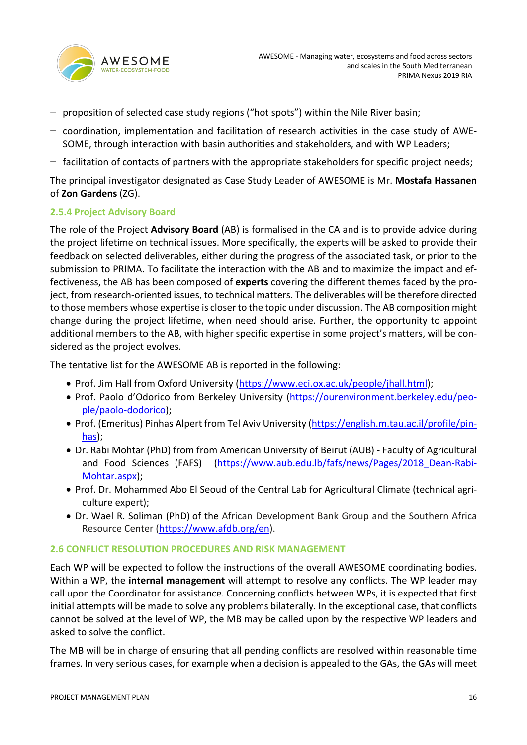

- − proposition of selected case study regions ("hot spots") within the Nile River basin;
- − coordination, implementation and facilitation of research activities in the case study of AWE-SOME, through interaction with basin authorities and stakeholders, and with WP Leaders;
- − facilitation of contacts of partners with the appropriate stakeholders for specific project needs;

The principal investigator designated as Case Study Leader of AWESOME is Mr. **Mostafa Hassanen** of **Zon Gardens** (ZG).

### **2.5.4 Project Advisory Board**

The role of the Project **Advisory Board** (AB) is formalised in the CA and is to provide advice during the project lifetime on technical issues. More specifically, the experts will be asked to provide their feedback on selected deliverables, either during the progress of the associated task, or prior to the submission to PRIMA. To facilitate the interaction with the AB and to maximize the impact and effectiveness, the AB has been composed of **experts** covering the different themes faced by the project, from research-oriented issues, to technical matters. The deliverables will be therefore directed to those members whose expertise is closer to the topic under discussion. The AB composition might change during the project lifetime, when need should arise. Further, the opportunity to appoint additional members to the AB, with higher specific expertise in some project's matters, will be considered as the project evolves.

The tentative list for the AWESOME AB is reported in the following:

- Prof. Jim Hall from Oxford University (https://www.eci.ox.ac.uk/people/jhall.html);
- Prof. Paolo d'Odorico from Berkeley University (https://ourenvironment.berkeley.edu/people/paolo-dodorico);
- Prof. (Emeritus) Pinhas Alpert from Tel Aviv University (https://english.m.tau.ac.il/profile/pinhas);
- Dr. Rabi Mohtar (PhD) from from American University of Beirut (AUB) Faculty of Agricultural and Food Sciences (FAFS) (https://www.aub.edu.lb/fafs/news/Pages/2018 Dean-Rabi-Mohtar.aspx);
- Prof. Dr. Mohammed Abo El Seoud of the Central Lab for Agricultural Climate (technical agriculture expert);
- Dr. Wael R. Soliman (PhD) of the African Development Bank Group and the Southern Africa Resource Center (https://www.afdb.org/en).

### **2.6 CONFLICT RESOLUTION PROCEDURES AND RISK MANAGEMENT**

Each WP will be expected to follow the instructions of the overall AWESOME coordinating bodies. Within a WP, the **internal management** will attempt to resolve any conflicts. The WP leader may call upon the Coordinator for assistance. Concerning conflicts between WPs, it is expected that first initial attempts will be made to solve any problems bilaterally. In the exceptional case, that conflicts cannot be solved at the level of WP, the MB may be called upon by the respective WP leaders and asked to solve the conflict.

The MB will be in charge of ensuring that all pending conflicts are resolved within reasonable time frames. In very serious cases, for example when a decision is appealed to the GAs, the GAs will meet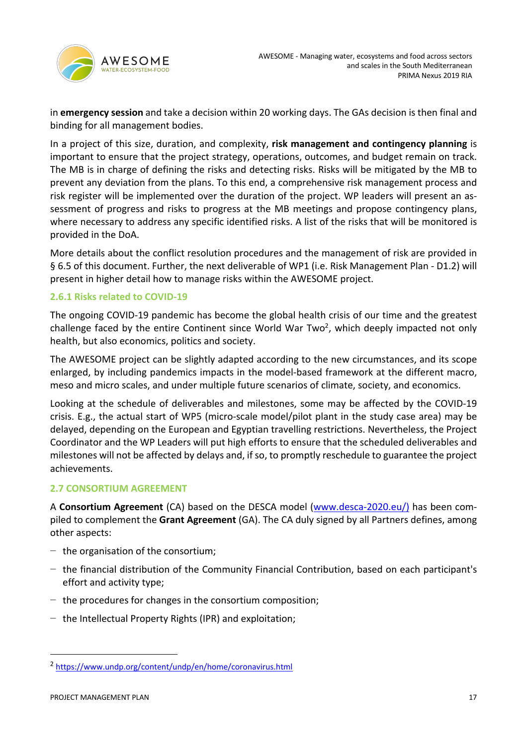

in **emergency session** and take a decision within 20 working days. The GAs decision is then final and binding for all management bodies.

In a project of this size, duration, and complexity, **risk management and contingency planning** is important to ensure that the project strategy, operations, outcomes, and budget remain on track. The MB is in charge of defining the risks and detecting risks. Risks will be mitigated by the MB to prevent any deviation from the plans. To this end, a comprehensive risk management process and risk register will be implemented over the duration of the project. WP leaders will present an assessment of progress and risks to progress at the MB meetings and propose contingency plans, where necessary to address any specific identified risks. A list of the risks that will be monitored is provided in the DoA.

More details about the conflict resolution procedures and the management of risk are provided in § 6.5 of this document. Further, the next deliverable of WP1 (i.e. Risk Management Plan - D1.2) will present in higher detail how to manage risks within the AWESOME project.

### **2.6.1 Risks related to COVID-19**

The ongoing COVID-19 pandemic has become the global health crisis of our time and the greatest challenge faced by the entire Continent since World War Two<sup>2</sup>, which deeply impacted not only health, but also economics, politics and society.

The AWESOME project can be slightly adapted according to the new circumstances, and its scope enlarged, by including pandemics impacts in the model-based framework at the different macro, meso and micro scales, and under multiple future scenarios of climate, society, and economics.

Looking at the schedule of deliverables and milestones, some may be affected by the COVID-19 crisis. E.g., the actual start of WP5 (micro-scale model/pilot plant in the study case area) may be delayed, depending on the European and Egyptian travelling restrictions. Nevertheless, the Project Coordinator and the WP Leaders will put high efforts to ensure that the scheduled deliverables and milestones will not be affected by delays and, if so, to promptly reschedule to guarantee the project achievements.

### **2.7 CONSORTIUM AGREEMENT**

A **Consortium Agreement** (CA) based on the DESCA model (www.desca-2020.eu/) has been compiled to complement the **Grant Agreement** (GA). The CA duly signed by all Partners defines, among other aspects:

- − the organisation of the consortium;
- − the financial distribution of the Community Financial Contribution, based on each participant's effort and activity type;
- − the procedures for changes in the consortium composition;
- − the Intellectual Property Rights (IPR) and exploitation;

<sup>2</sup> https://www.undp.org/content/undp/en/home/coronavirus.html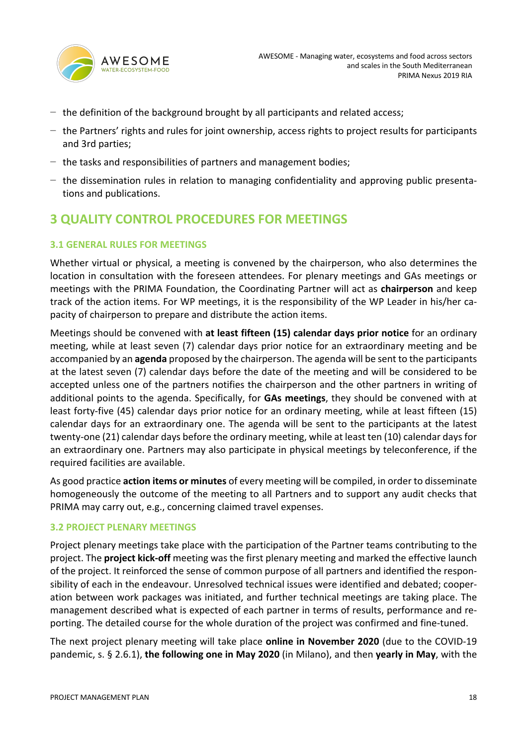

- − the definition of the background brought by all participants and related access;
- − the Partners' rights and rules for joint ownership, access rights to project results for participants and 3rd parties;
- − the tasks and responsibilities of partners and management bodies;
- − the dissemination rules in relation to managing confidentiality and approving public presentations and publications.

# **3 QUALITY CONTROL PROCEDURES FOR MEETINGS**

### **3.1 GENERAL RULES FOR MEETINGS**

Whether virtual or physical, a meeting is convened by the chairperson, who also determines the location in consultation with the foreseen attendees. For plenary meetings and GAs meetings or meetings with the PRIMA Foundation, the Coordinating Partner will act as **chairperson** and keep track of the action items. For WP meetings, it is the responsibility of the WP Leader in his/her capacity of chairperson to prepare and distribute the action items.

Meetings should be convened with **at least fifteen (15) calendar days prior notice** for an ordinary meeting, while at least seven (7) calendar days prior notice for an extraordinary meeting and be accompanied by an **agenda** proposed by the chairperson. The agenda will be sent to the participants at the latest seven (7) calendar days before the date of the meeting and will be considered to be accepted unless one of the partners notifies the chairperson and the other partners in writing of additional points to the agenda. Specifically, for **GAs meetings**, they should be convened with at least forty-five (45) calendar days prior notice for an ordinary meeting, while at least fifteen (15) calendar days for an extraordinary one. The agenda will be sent to the participants at the latest twenty-one (21) calendar days before the ordinary meeting, while at least ten (10) calendar days for an extraordinary one. Partners may also participate in physical meetings by teleconference, if the required facilities are available.

As good practice **action items or minutes** of every meeting will be compiled, in order to disseminate homogeneously the outcome of the meeting to all Partners and to support any audit checks that PRIMA may carry out, e.g., concerning claimed travel expenses.

### **3.2 PROJECT PLENARY MEETINGS**

Project plenary meetings take place with the participation of the Partner teams contributing to the project. The **project kick-off** meeting was the first plenary meeting and marked the effective launch of the project. It reinforced the sense of common purpose of all partners and identified the responsibility of each in the endeavour. Unresolved technical issues were identified and debated; cooperation between work packages was initiated, and further technical meetings are taking place. The management described what is expected of each partner in terms of results, performance and reporting. The detailed course for the whole duration of the project was confirmed and fine-tuned.

The next project plenary meeting will take place **online in November 2020** (due to the COVID-19 pandemic, s. § 2.6.1), **the following one in May 2020** (in Milano), and then **yearly in May**, with the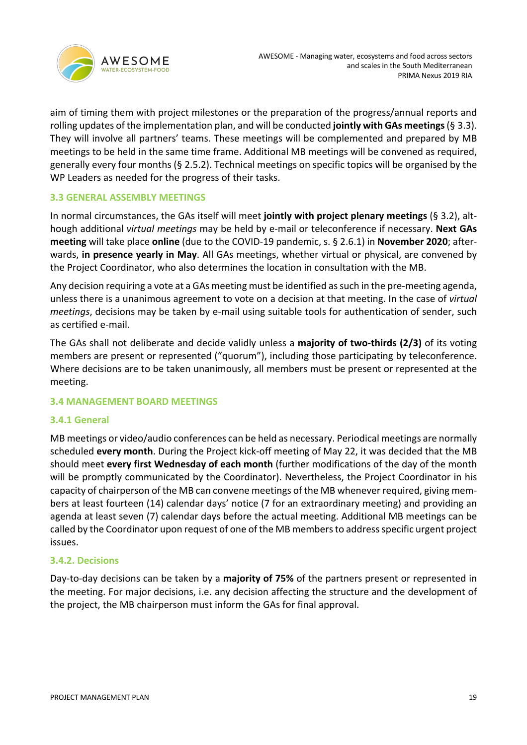

aim of timing them with project milestones or the preparation of the progress/annual reports and rolling updates of the implementation plan, and will be conducted **jointly with GAs meetings**(§ 3.3). They will involve all partners' teams. These meetings will be complemented and prepared by MB meetings to be held in the same time frame. Additional MB meetings will be convened as required, generally every four months (§ 2.5.2). Technical meetings on specific topics will be organised by the WP Leaders as needed for the progress of their tasks.

### **3.3 GENERAL ASSEMBLY MEETINGS**

In normal circumstances, the GAs itself will meet **jointly with project plenary meetings** (§ 3.2), although additional *virtual meetings* may be held by e-mail or teleconference if necessary. **Next GAs meeting** will take place **online** (due to the COVID-19 pandemic, s. § 2.6.1) in **November 2020**; afterwards, **in presence yearly in May**. All GAs meetings, whether virtual or physical, are convened by the Project Coordinator, who also determines the location in consultation with the MB.

Any decision requiring a vote at a GAs meeting must be identified as such in the pre-meeting agenda, unless there is a unanimous agreement to vote on a decision at that meeting. In the case of *virtual meetings*, decisions may be taken by e-mail using suitable tools for authentication of sender, such as certified e-mail.

The GAs shall not deliberate and decide validly unless a **majority of two-thirds (2/3)** of its voting members are present or represented ("quorum"), including those participating by teleconference. Where decisions are to be taken unanimously, all members must be present or represented at the meeting.

### **3.4 MANAGEMENT BOARD MEETINGS**

### **3.4.1 General**

MB meetings or video/audio conferences can be held as necessary. Periodical meetings are normally scheduled **every month**. During the Project kick-off meeting of May 22, it was decided that the MB should meet **every first Wednesday of each month** (further modifications of the day of the month will be promptly communicated by the Coordinator). Nevertheless, the Project Coordinator in his capacity of chairperson of the MB can convene meetings of the MB whenever required, giving members at least fourteen (14) calendar days' notice (7 for an extraordinary meeting) and providing an agenda at least seven (7) calendar days before the actual meeting. Additional MB meetings can be called by the Coordinator upon request of one of the MB members to address specific urgent project issues.

### **3.4.2. Decisions**

Day-to-day decisions can be taken by a **majority of 75%** of the partners present or represented in the meeting. For major decisions, i.e. any decision affecting the structure and the development of the project, the MB chairperson must inform the GAs for final approval.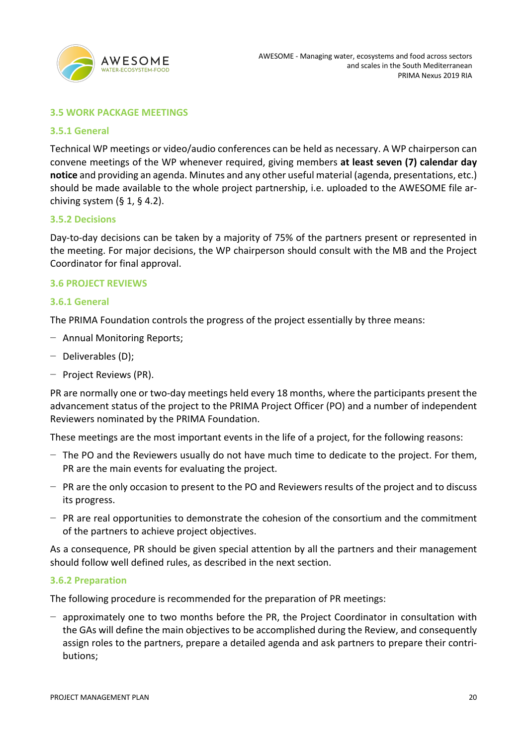

### **3.5 WORK PACKAGE MEETINGS**

### **3.5.1 General**

Technical WP meetings or video/audio conferences can be held as necessary. A WP chairperson can convene meetings of the WP whenever required, giving members **at least seven (7) calendar day notice** and providing an agenda. Minutes and any other useful material (agenda, presentations, etc.) should be made available to the whole project partnership, i.e. uploaded to the AWESOME file archiving system  $(§ 1, § 4.2)$ .

### **3.5.2 Decisions**

Day-to-day decisions can be taken by a majority of 75% of the partners present or represented in the meeting. For major decisions, the WP chairperson should consult with the MB and the Project Coordinator for final approval.

### **3.6 PROJECT REVIEWS**

### **3.6.1 General**

The PRIMA Foundation controls the progress of the project essentially by three means:

- − Annual Monitoring Reports;
- − Deliverables (D);
- − Project Reviews (PR).

PR are normally one or two-day meetings held every 18 months, where the participants present the advancement status of the project to the PRIMA Project Officer (PO) and a number of independent Reviewers nominated by the PRIMA Foundation.

These meetings are the most important events in the life of a project, for the following reasons:

- − The PO and the Reviewers usually do not have much time to dedicate to the project. For them, PR are the main events for evaluating the project.
- − PR are the only occasion to present to the PO and Reviewers results of the project and to discuss its progress.
- − PR are real opportunities to demonstrate the cohesion of the consortium and the commitment of the partners to achieve project objectives.

As a consequence, PR should be given special attention by all the partners and their management should follow well defined rules, as described in the next section.

### **3.6.2 Preparation**

The following procedure is recommended for the preparation of PR meetings:

− approximately one to two months before the PR, the Project Coordinator in consultation with the GAs will define the main objectives to be accomplished during the Review, and consequently assign roles to the partners, prepare a detailed agenda and ask partners to prepare their contributions;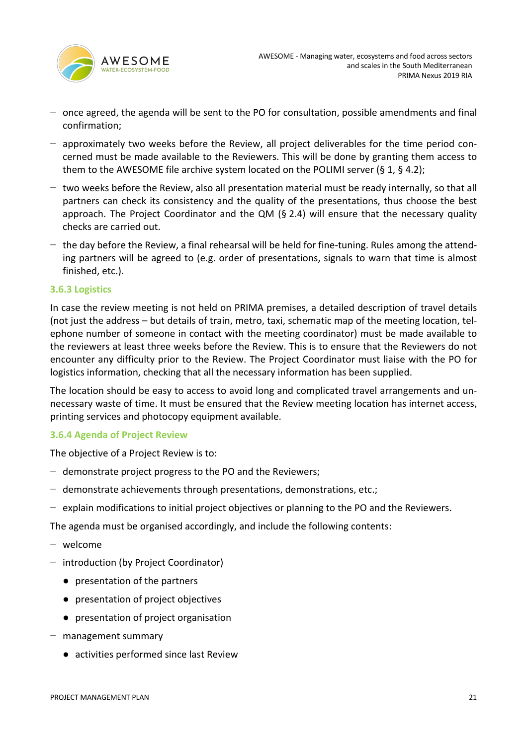

- − once agreed, the agenda will be sent to the PO for consultation, possible amendments and final confirmation;
- − approximately two weeks before the Review, all project deliverables for the time period concerned must be made available to the Reviewers. This will be done by granting them access to them to the AWESOME file archive system located on the POLIMI server (§ 1, § 4.2);
- − two weeks before the Review, also all presentation material must be ready internally, so that all partners can check its consistency and the quality of the presentations, thus choose the best approach. The Project Coordinator and the QM ( $\S$  2.4) will ensure that the necessary quality checks are carried out.
- − the day before the Review, a final rehearsal will be held for fine-tuning. Rules among the attending partners will be agreed to (e.g. order of presentations, signals to warn that time is almost finished, etc.).

### **3.6.3 Logistics**

In case the review meeting is not held on PRIMA premises, a detailed description of travel details (not just the address – but details of train, metro, taxi, schematic map of the meeting location, telephone number of someone in contact with the meeting coordinator) must be made available to the reviewers at least three weeks before the Review. This is to ensure that the Reviewers do not encounter any difficulty prior to the Review. The Project Coordinator must liaise with the PO for logistics information, checking that all the necessary information has been supplied.

The location should be easy to access to avoid long and complicated travel arrangements and unnecessary waste of time. It must be ensured that the Review meeting location has internet access, printing services and photocopy equipment available.

### **3.6.4 Agenda of Project Review**

The objective of a Project Review is to:

- − demonstrate project progress to the PO and the Reviewers;
- − demonstrate achievements through presentations, demonstrations, etc.;
- − explain modifications to initial project objectives or planning to the PO and the Reviewers.

The agenda must be organised accordingly, and include the following contents:

- − welcome
- − introduction (by Project Coordinator)
	- presentation of the partners
	- presentation of project objectives
	- presentation of project organisation
- − management summary
	- activities performed since last Review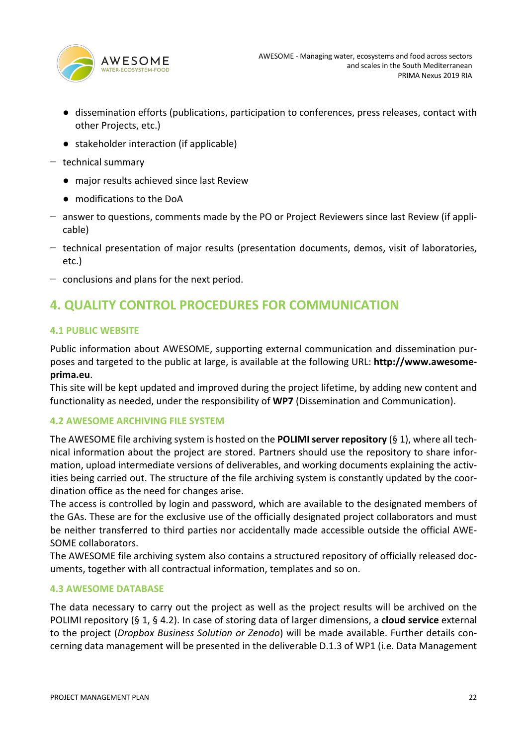

- dissemination efforts (publications, participation to conferences, press releases, contact with other Projects, etc.)
- stakeholder interaction (if applicable)
- − technical summary
	- major results achieved since last Review
	- modifications to the DoA
- − answer to questions, comments made by the PO or Project Reviewers since last Review (if applicable)
- − technical presentation of major results (presentation documents, demos, visit of laboratories, etc.)
- − conclusions and plans for the next period.

# **4. QUALITY CONTROL PROCEDURES FOR COMMUNICATION**

### **4.1 PUBLIC WEBSITE**

Public information about AWESOME, supporting external communication and dissemination purposes and targeted to the public at large, is available at the following URL: **http://www.awesomeprima.eu**.

This site will be kept updated and improved during the project lifetime, by adding new content and functionality as needed, under the responsibility of **WP7** (Dissemination and Communication).

### **4.2 AWESOME ARCHIVING FILE SYSTEM**

The AWESOME file archiving system is hosted on the **POLIMI server repository** (§ 1), where all technical information about the project are stored. Partners should use the repository to share information, upload intermediate versions of deliverables, and working documents explaining the activities being carried out. The structure of the file archiving system is constantly updated by the coordination office as the need for changes arise.

The access is controlled by login and password, which are available to the designated members of the GAs. These are for the exclusive use of the officially designated project collaborators and must be neither transferred to third parties nor accidentally made accessible outside the official AWE-SOME collaborators.

The AWESOME file archiving system also contains a structured repository of officially released documents, together with all contractual information, templates and so on.

### **4.3 AWESOME DATABASE**

The data necessary to carry out the project as well as the project results will be archived on the POLIMI repository (§ 1, § 4.2). In case of storing data of larger dimensions, a **cloud service** external to the project (*Dropbox Business Solution or Zenodo*) will be made available. Further details concerning data management will be presented in the deliverable D.1.3 of WP1 (i.e. Data Management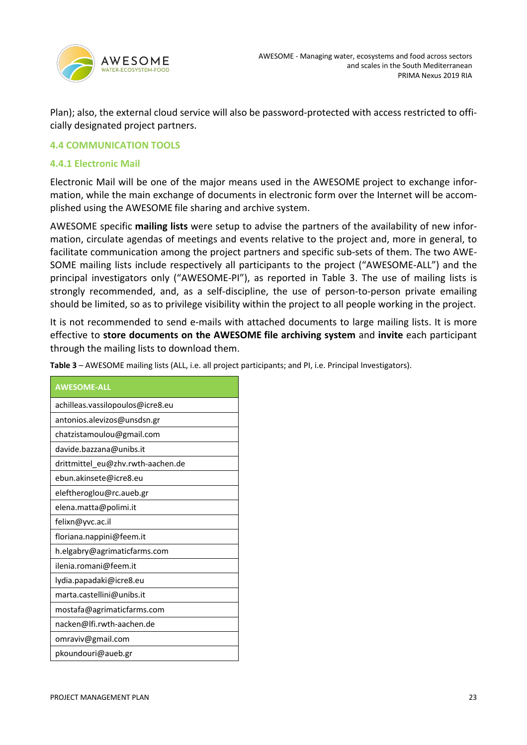

Plan); also, the external cloud service will also be password-protected with access restricted to officially designated project partners.

### **4.4 COMMUNICATION TOOLS**

### **4.4.1 Electronic Mail**

Electronic Mail will be one of the major means used in the AWESOME project to exchange information, while the main exchange of documents in electronic form over the Internet will be accomplished using the AWESOME file sharing and archive system.

AWESOME specific **mailing lists** were setup to advise the partners of the availability of new information, circulate agendas of meetings and events relative to the project and, more in general, to facilitate communication among the project partners and specific sub-sets of them. The two AWE-SOME mailing lists include respectively all participants to the project ("AWESOME-ALL") and the principal investigators only ("AWESOME-PI"), as reported in Table 3. The use of mailing lists is strongly recommended, and, as a self-discipline, the use of person-to-person private emailing should be limited, so as to privilege visibility within the project to all people working in the project.

It is not recommended to send e-mails with attached documents to large mailing lists. It is more effective to **store documents on the AWESOME file archiving system** and **invite** each participant through the mailing lists to download them.

**Table 3** – AWESOME mailing lists (ALL, i.e. all project participants; and PI, i.e. Principal Investigators).

| <b>AWESOME-ALL</b>                |
|-----------------------------------|
| achilleas.vassilopoulos@icre8.eu  |
| antonios.alevizos@unsdsn.gr       |
| chatzistamoulou@gmail.com         |
| davide.bazzana@unibs.it           |
| drittmittel eu@zhv.rwth-aachen.de |
| ebun.akinsete@icre8.eu            |
| eleftheroglou@rc.aueb.gr          |
| elena.matta@polimi.it             |
| felixn@yvc.ac.il                  |
| floriana.nappini@feem.it          |
| h.elgabry@agrimaticfarms.com      |
| ilenia.romani@feem.it             |
| lydia.papadaki@icre8.eu           |
| marta.castellini@unibs.it         |
| mostafa@agrimaticfarms.com        |
| nacken@lfi.rwth-aachen.de         |
| omraviv@gmail.com                 |
| pkoundouri@aueb.gr                |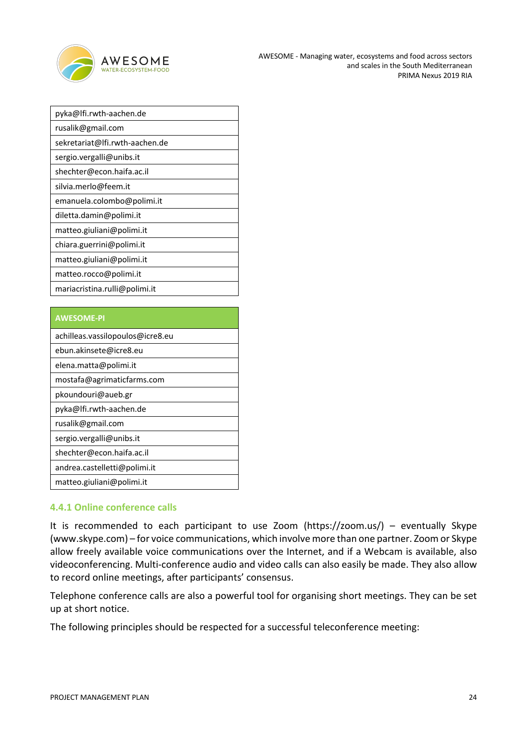

| pyka@lfi.rwth-aachen.de        |
|--------------------------------|
| rusalik@gmail.com              |
| sekretariat@lfi.rwth-aachen.de |
| sergio.vergalli@unibs.it       |
| shechter@econ.haifa.ac.il      |
| silvia.merlo@feem.it           |
| emanuela.colombo@polimi.it     |
| diletta.damin@polimi.it        |
| matteo.giuliani@polimi.it      |
| chiara.guerrini@polimi.it      |
| matteo.giuliani@polimi.it      |
| matteo.rocco@polimi.it         |
| mariacristina.rulli@polimi.it  |

### **AWESOME-PI**

| achilleas.vassilopoulos@icre8.eu |
|----------------------------------|
| ebun.akinsete@icre8.eu           |
| elena.matta@polimi.it            |
| mostafa@agrimaticfarms.com       |
| pkoundouri@aueb.gr               |
| pyka@lfi.rwth-aachen.de          |
| rusalik@gmail.com                |
| sergio.vergalli@unibs.it         |
| shechter@econ.haifa.ac.il        |
| andrea.castelletti@polimi.it     |
| matteo.giuliani@polimi.it        |

### **4.4.1 Online conference calls**

It is recommended to each participant to use Zoom (https://zoom.us/) – eventually Skype (www.skype.com) – for voice communications, which involve more than one partner. Zoom or Skype allow freely available voice communications over the Internet, and if a Webcam is available, also videoconferencing. Multi-conference audio and video calls can also easily be made. They also allow to record online meetings, after participants' consensus.

Telephone conference calls are also a powerful tool for organising short meetings. They can be set up at short notice.

The following principles should be respected for a successful teleconference meeting: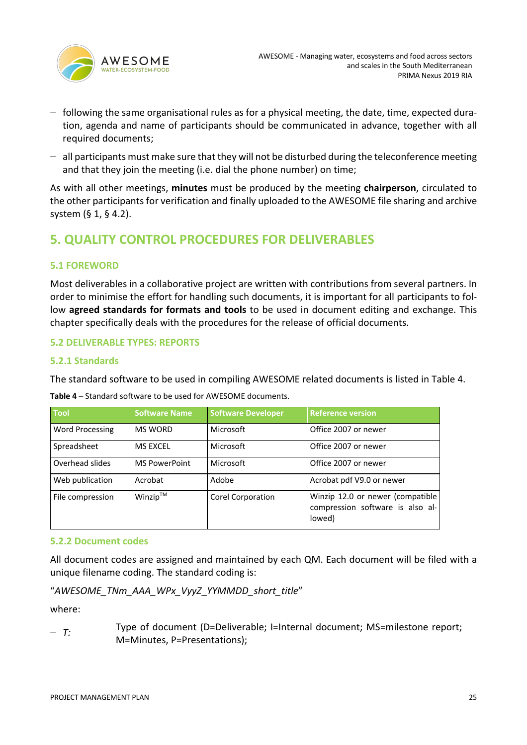

- − following the same organisational rules as for a physical meeting, the date, time, expected duration, agenda and name of participants should be communicated in advance, together with all required documents;
- − all participants must make sure that they will not be disturbed during the teleconference meeting and that they join the meeting (i.e. dial the phone number) on time;

As with all other meetings, **minutes** must be produced by the meeting **chairperson**, circulated to the other participants for verification and finally uploaded to the AWESOME file sharing and archive system (§ 1, § 4.2).

# **5. QUALITY CONTROL PROCEDURES FOR DELIVERABLES**

### **5.1 FOREWORD**

Most deliverables in a collaborative project are written with contributions from several partners. In order to minimise the effort for handling such documents, it is important for all participants to follow **agreed standards for formats and tools** to be used in document editing and exchange. This chapter specifically deals with the procedures for the release of official documents.

### **5.2 DELIVERABLE TYPES: REPORTS**

### **5.2.1 Standards**

The standard software to be used in compiling AWESOME related documents is listed in Table 4.

| <b>Tool</b>            | <b>Software Name</b> | <b>Software Developer</b> | <b>Reference version</b>                                                       |
|------------------------|----------------------|---------------------------|--------------------------------------------------------------------------------|
| <b>Word Processing</b> | <b>MS WORD</b>       | Microsoft                 | Office 2007 or newer                                                           |
| Spreadsheet            | <b>MS EXCEL</b>      | Microsoft                 | Office 2007 or newer                                                           |
| Overhead slides        | <b>MS PowerPoint</b> | Microsoft                 | Office 2007 or newer                                                           |
| Web publication        | Acrobat              | Adobe                     | Acrobat pdf V9.0 or newer                                                      |
| File compression       | Winzip™              | Corel Corporation         | Winzip 12.0 or newer (compatible<br>compression software is also al-<br>lowed) |

**Table 4** – Standard software to be used for AWESOME documents.

### **5.2.2 Document codes**

All document codes are assigned and maintained by each QM. Each document will be filed with a unique filename coding. The standard coding is:

```
"AWESOME_TNm_AAA_WPx_VyyZ_YYMMDD_short_title"
```
where:

<sup>−</sup> *T:* Type of document (D=Deliverable; I=Internal document; MS=milestone report; M=Minutes, P=Presentations);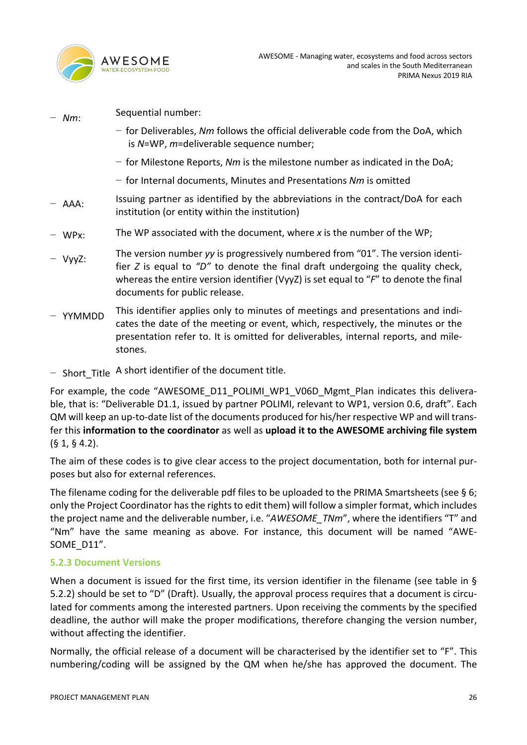

<sup>−</sup> *Nm*: Sequential number: − for Deliverables, *Nm* follows the official deliverable code from the DoA, which is *N*=WP, *m*=deliverable sequence number; − for Milestone Reports, *Nm* is the milestone number as indicated in the DoA; − for Internal documents, Minutes and Presentations *Nm* is omitted − AAA: Issuing partner as identified by the abbreviations in the contract/DoA for each institution (or entity within the institution) − WPx: The WP associated with the document, where *x* is the number of the WP; <sup>−</sup> VyyZ: The version number *yy* is progressively numbered from "01". The version identifier *Z* is equal to *"D"* to denote the final draft undergoing the quality check, whereas the entire version identifier (VyyZ) is set equal to "*F*" to denote the final documents for public release. <sup>−</sup> YYMMDD This identifier applies only to minutes of meetings and presentations and indicates the date of the meeting or event, which, respectively, the minutes or the presentation refer to. It is omitted for deliverables, internal reports, and mile-

− Short\_Title A short identifier of the document title.

stones.

For example, the code "AWESOME\_D11\_POLIMI\_WP1\_V06D\_Mgmt\_Plan indicates this deliverable, that is: "Deliverable D1.1, issued by partner POLIMI, relevant to WP1, version 0.6, draft". Each QM will keep an up-to-date list of the documents produced for his/her respective WP and will transfer this **information to the coordinator** as well as **upload it to the AWESOME archiving file system** (§ 1, § 4.2).

The aim of these codes is to give clear access to the project documentation, both for internal purposes but also for external references.

The filename coding for the deliverable pdf files to be uploaded to the PRIMA Smartsheets (see § 6; only the Project Coordinator has the rights to edit them) will follow a simpler format, which includes the project name and the deliverable number, i.e. "*AWESOME\_TNm*", where the identifiers "T" and "Nm" have the same meaning as above. For instance, this document will be named "AWE-SOME D11".

### **5.2.3 Document Versions**

When a document is issued for the first time, its version identifier in the filename (see table in § 5.2.2) should be set to "D" (Draft). Usually, the approval process requires that a document is circulated for comments among the interested partners. Upon receiving the comments by the specified deadline, the author will make the proper modifications, therefore changing the version number, without affecting the identifier.

Normally, the official release of a document will be characterised by the identifier set to "F". This numbering/coding will be assigned by the QM when he/she has approved the document. The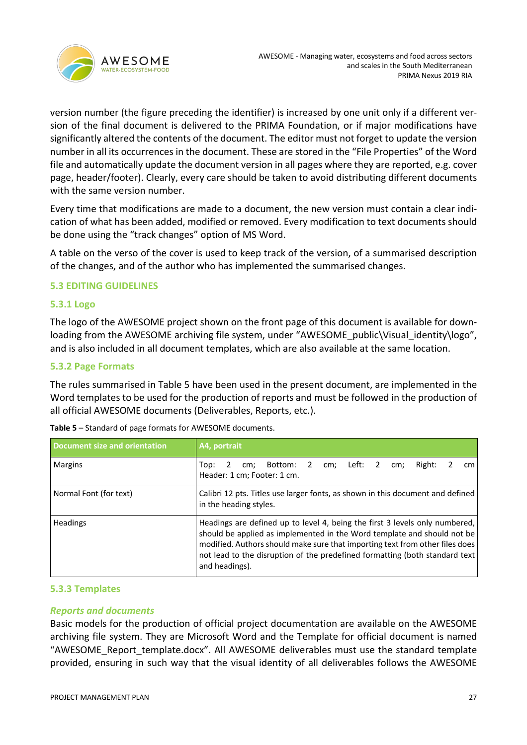

version number (the figure preceding the identifier) is increased by one unit only if a different version of the final document is delivered to the PRIMA Foundation, or if major modifications have significantly altered the contents of the document. The editor must not forget to update the version number in all its occurrences in the document. These are stored in the "File Properties" of the Word file and automatically update the document version in all pages where they are reported, e.g. cover page, header/footer). Clearly, every care should be taken to avoid distributing different documents with the same version number.

Every time that modifications are made to a document, the new version must contain a clear indication of what has been added, modified or removed. Every modification to text documents should be done using the "track changes" option of MS Word.

A table on the verso of the cover is used to keep track of the version, of a summarised description of the changes, and of the author who has implemented the summarised changes.

### **5.3 EDITING GUIDELINES**

### **5.3.1 Logo**

The logo of the AWESOME project shown on the front page of this document is available for downloading from the AWESOME archiving file system, under "AWESOME\_public\Visual\_identity\logo", and is also included in all document templates, which are also available at the same location.

### **5.3.2 Page Formats**

The rules summarised in Table 5 have been used in the present document, are implemented in the Word templates to be used for the production of reports and must be followed in the production of all official AWESOME documents (Deliverables, Reports, etc.).

| Document size and orientation | A4, portrait                                                                                                                                                                                                                                                                                                                            |
|-------------------------------|-----------------------------------------------------------------------------------------------------------------------------------------------------------------------------------------------------------------------------------------------------------------------------------------------------------------------------------------|
| <b>Margins</b>                | cm; Bottom: 2 cm; Left: 2<br>Right:<br>Top:<br>cm:<br>cm <sub>1</sub><br>Header: 1 cm; Footer: 1 cm.                                                                                                                                                                                                                                    |
| Normal Font (for text)        | Calibri 12 pts. Titles use larger fonts, as shown in this document and defined<br>in the heading styles.                                                                                                                                                                                                                                |
| <b>Headings</b>               | Headings are defined up to level 4, being the first 3 levels only numbered,<br>should be applied as implemented in the Word template and should not be<br>modified. Authors should make sure that importing text from other files does<br>not lead to the disruption of the predefined formatting (both standard text<br>and headings). |

**Table 5** – Standard of page formats for AWESOME documents.

### **5.3.3 Templates**

### *Reports and documents*

Basic models for the production of official project documentation are available on the AWESOME archiving file system. They are Microsoft Word and the Template for official document is named "AWESOME\_Report\_template.docx". All AWESOME deliverables must use the standard template provided, ensuring in such way that the visual identity of all deliverables follows the AWESOME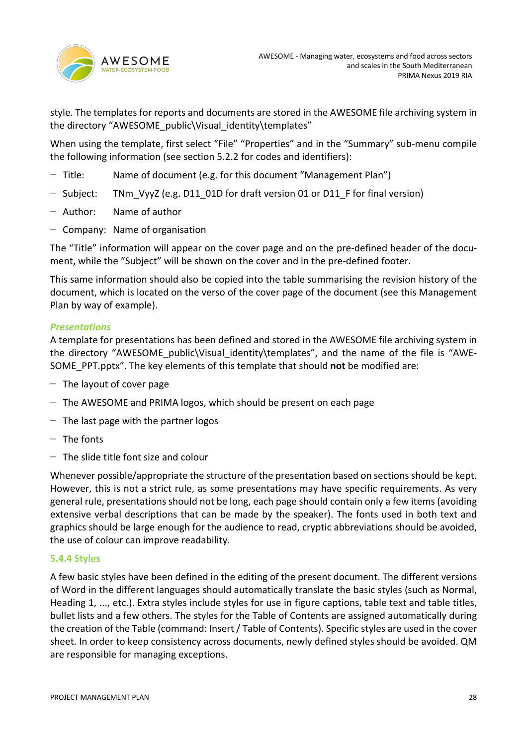

style. The templates for reports and documents are stored in the AWESOME file archiving system in the directory "AWESOME\_public\Visual\_identity\templates"

When using the template, first select "File" "Properties" and in the "Summary" sub-menu compile the following information (see section 5.2.2 for codes and identifiers):

- − Title: Name of document (e.g. for this document "Management Plan")
- − Subject: TNm\_VyyZ (e.g. D11\_01D for draft version 01 or D11\_F for final version)
- − Author: Name of author
- − Company: Name of organisation

The "Title" information will appear on the cover page and on the pre-defined header of the document, while the "Subject" will be shown on the cover and in the pre-defined footer.

This same information should also be copied into the table summarising the revision history of the document, which is located on the verso of the cover page of the document (see this Management Plan by way of example).

### *Presentations*

A template for presentations has been defined and stored in the AWESOME file archiving system in the directory "AWESOME public\Visual identity\templates", and the name of the file is "AWE-SOME\_PPT.pptx". The key elements of this template that should **not** be modified are:

- − The layout of cover page
- − The AWESOME and PRIMA logos, which should be present on each page
- − The last page with the partner logos
- − The fonts
- − The slide title font size and colour

Whenever possible/appropriate the structure of the presentation based on sections should be kept. However, this is not a strict rule, as some presentations may have specific requirements. As very general rule, presentations should not be long, each page should contain only a few items (avoiding extensive verbal descriptions that can be made by the speaker). The fonts used in both text and graphics should be large enough for the audience to read, cryptic abbreviations should be avoided, the use of colour can improve readability.

### **5.4.4 Styles**

A few basic styles have been defined in the editing of the present document. The different versions of Word in the different languages should automatically translate the basic styles (such as Normal, Heading 1, ..., etc.). Extra styles include styles for use in figure captions, table text and table titles, bullet lists and a few others. The styles for the Table of Contents are assigned automatically during the creation of the Table (command: Insert / Table of Contents). Specific styles are used in the cover sheet. In order to keep consistency across documents, newly defined styles should be avoided. QM are responsible for managing exceptions.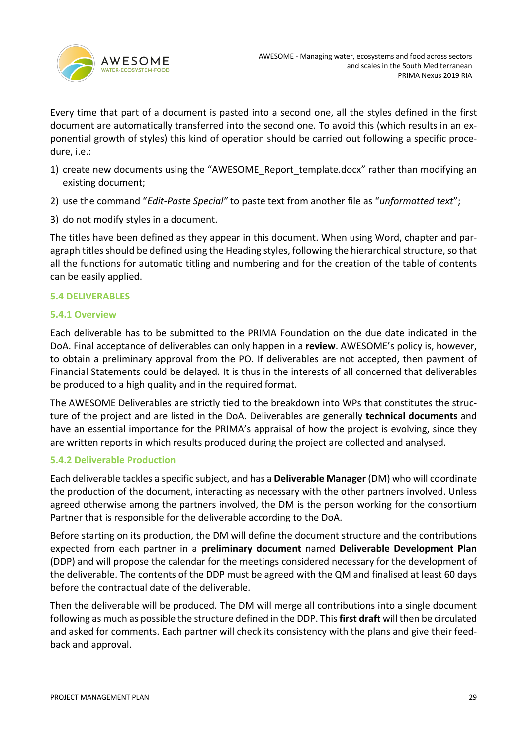

Every time that part of a document is pasted into a second one, all the styles defined in the first document are automatically transferred into the second one. To avoid this (which results in an exponential growth of styles) this kind of operation should be carried out following a specific procedure, i.e.:

- 1) create new documents using the "AWESOME\_Report\_template.docx" rather than modifying an existing document;
- 2) use the command "*Edit-Paste Special"* to paste text from another file as "*unformatted text*";
- 3) do not modify styles in a document.

The titles have been defined as they appear in this document. When using Word, chapter and paragraph titles should be defined using the Heading styles, following the hierarchical structure, so that all the functions for automatic titling and numbering and for the creation of the table of contents can be easily applied.

### **5.4 DELIVERABLES**

### **5.4.1 Overview**

Each deliverable has to be submitted to the PRIMA Foundation on the due date indicated in the DoA. Final acceptance of deliverables can only happen in a **review**. AWESOME's policy is, however, to obtain a preliminary approval from the PO. If deliverables are not accepted, then payment of Financial Statements could be delayed. It is thus in the interests of all concerned that deliverables be produced to a high quality and in the required format.

The AWESOME Deliverables are strictly tied to the breakdown into WPs that constitutes the structure of the project and are listed in the DoA. Deliverables are generally **technical documents** and have an essential importance for the PRIMA's appraisal of how the project is evolving, since they are written reports in which results produced during the project are collected and analysed.

### **5.4.2 Deliverable Production**

Each deliverable tackles a specific subject, and has a **Deliverable Manager** (DM) who will coordinate the production of the document, interacting as necessary with the other partners involved. Unless agreed otherwise among the partners involved, the DM is the person working for the consortium Partner that is responsible for the deliverable according to the DoA.

Before starting on its production, the DM will define the document structure and the contributions expected from each partner in a **preliminary document** named **Deliverable Development Plan** (DDP) and will propose the calendar for the meetings considered necessary for the development of the deliverable. The contents of the DDP must be agreed with the QM and finalised at least 60 days before the contractual date of the deliverable.

Then the deliverable will be produced. The DM will merge all contributions into a single document following as much as possible the structure defined in the DDP. This **first draft** will then be circulated and asked for comments. Each partner will check its consistency with the plans and give their feedback and approval.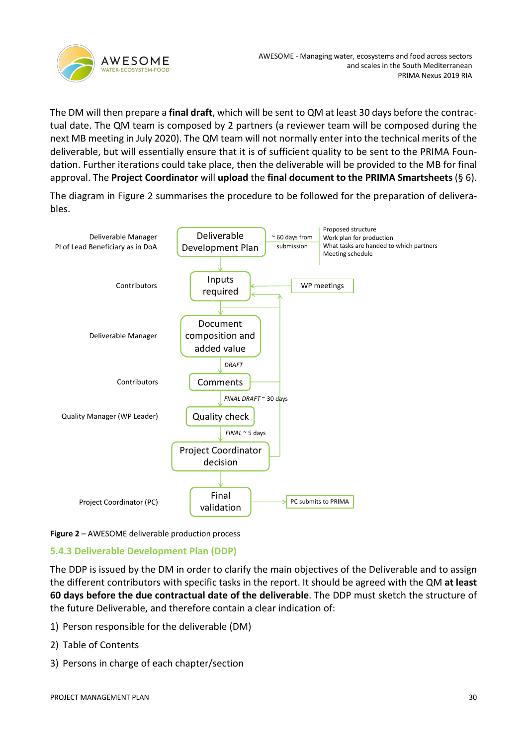

The DM will then prepare a **final draft**, which will be sent to QM at least 30 days before the contractual date. The QM team is composed by 2 partners (a reviewer team will be composed during the next MB meeting in July 2020). The QM team will not normally enter into the technical merits of the deliverable, but will essentially ensure that it is of sufficient quality to be sent to the PRIMA Foundation. Further iterations could take place, then the deliverable will be provided to the MB for final approval. The **Project Coordinator** will **upload** the **final document to the PRIMA Smartsheets** (§ 6).

The diagram in Figure 2 summarises the procedure to be followed for the preparation of deliverables.



**Figure 2** – AWESOME deliverable production process

### **5.4.3 Deliverable Development Plan (DDP)**

The DDP is issued by the DM in order to clarify the main objectives of the Deliverable and to assign the different contributors with specific tasks in the report. It should be agreed with the QM **at least 60 days before the due contractual date of the deliverable**. The DDP must sketch the structure of the future Deliverable, and therefore contain a clear indication of:

- 1) Person responsible for the deliverable (DM)
- 2) Table of Contents
- 3) Persons in charge of each chapter/section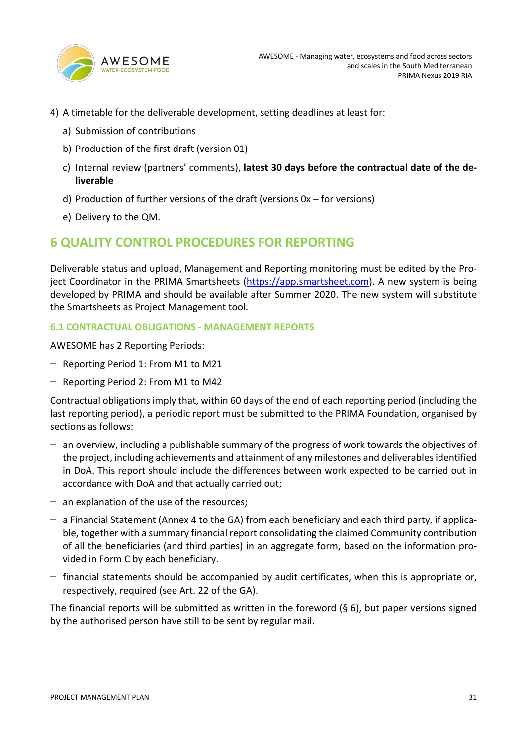

- 4) A timetable for the deliverable development, setting deadlines at least for:
	- a) Submission of contributions
	- b) Production of the first draft (version 01)
	- c) Internal review (partners' comments), **latest 30 days before the contractual date of the deliverable**
	- d) Production of further versions of the draft (versions 0x for versions)
	- e) Delivery to the QM.

# **6 QUALITY CONTROL PROCEDURES FOR REPORTING**

Deliverable status and upload, Management and Reporting monitoring must be edited by the Project Coordinator in the PRIMA Smartsheets (https://app.smartsheet.com). A new system is being developed by PRIMA and should be available after Summer 2020. The new system will substitute the Smartsheets as Project Management tool.

### **6.1 CONTRACTUAL OBLIGATIONS - MANAGEMENT REPORTS**

AWESOME has 2 Reporting Periods:

- − Reporting Period 1: From M1 to M21
- − Reporting Period 2: From M1 to M42

Contractual obligations imply that, within 60 days of the end of each reporting period (including the last reporting period), a periodic report must be submitted to the PRIMA Foundation, organised by sections as follows:

- − an overview, including a publishable summary of the progress of work towards the objectives of the project, including achievements and attainment of any milestones and deliverables identified in DoA. This report should include the differences between work expected to be carried out in accordance with DoA and that actually carried out;
- − an explanation of the use of the resources;
- − a Financial Statement (Annex 4 to the GA) from each beneficiary and each third party, if applicable, together with a summary financial report consolidating the claimed Community contribution of all the beneficiaries (and third parties) in an aggregate form, based on the information provided in Form C by each beneficiary.
- − financial statements should be accompanied by audit certificates, when this is appropriate or, respectively, required (see Art. 22 of the GA).

The financial reports will be submitted as written in the foreword  $(§ 6)$ , but paper versions signed by the authorised person have still to be sent by regular mail.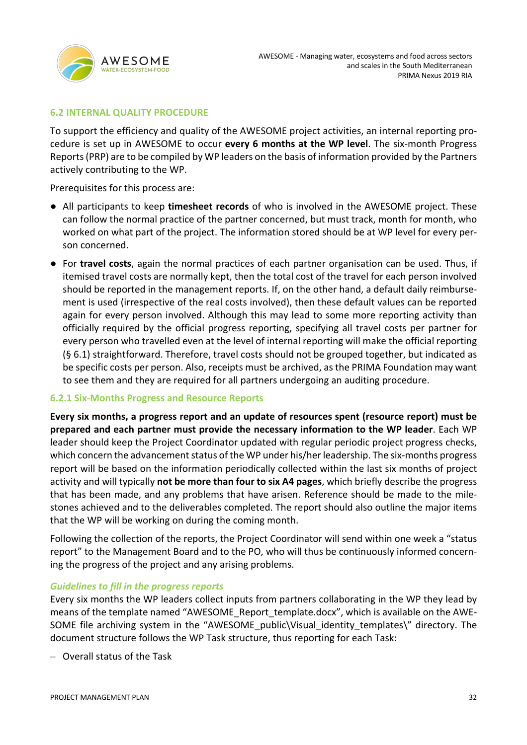

### **6.2 INTERNAL QUALITY PROCEDURE**

To support the efficiency and quality of the AWESOME project activities, an internal reporting procedure is set up in AWESOME to occur **every 6 months at the WP level**. The six-month Progress Reports (PRP) are to be compiled by WP leaders on the basis of information provided by the Partners actively contributing to the WP.

Prerequisites for this process are:

- All participants to keep **timesheet records** of who is involved in the AWESOME project. These can follow the normal practice of the partner concerned, but must track, month for month, who worked on what part of the project. The information stored should be at WP level for every person concerned.
- For **travel costs**, again the normal practices of each partner organisation can be used. Thus, if itemised travel costs are normally kept, then the total cost of the travel for each person involved should be reported in the management reports. If, on the other hand, a default daily reimbursement is used (irrespective of the real costs involved), then these default values can be reported again for every person involved. Although this may lead to some more reporting activity than officially required by the official progress reporting, specifying all travel costs per partner for every person who travelled even at the level of internal reporting will make the official reporting (§ 6.1) straightforward. Therefore, travel costs should not be grouped together, but indicated as be specific costs per person. Also, receipts must be archived, as the PRIMA Foundation may want to see them and they are required for all partners undergoing an auditing procedure.

### **6.2.1 Six-Months Progress and Resource Reports**

**Every six months, a progress report and an update of resources spent (resource report) must be prepared and each partner must provide the necessary information to the WP leader**. Each WP leader should keep the Project Coordinator updated with regular periodic project progress checks, which concern the advancement status of the WP under his/her leadership. The six-months progress report will be based on the information periodically collected within the last six months of project activity and will typically **not be more than four to six A4 pages**, which briefly describe the progress that has been made, and any problems that have arisen. Reference should be made to the milestones achieved and to the deliverables completed. The report should also outline the major items that the WP will be working on during the coming month.

Following the collection of the reports, the Project Coordinator will send within one week a "status report" to the Management Board and to the PO, who will thus be continuously informed concerning the progress of the project and any arising problems.

### *Guidelines to fill in the progress reports*

Every six months the WP leaders collect inputs from partners collaborating in the WP they lead by means of the template named "AWESOME\_Report\_template.docx", which is available on the AWE-SOME file archiving system in the "AWESOME public\Visual identity templates\" directory. The document structure follows the WP Task structure, thus reporting for each Task:

– Overall status of the Task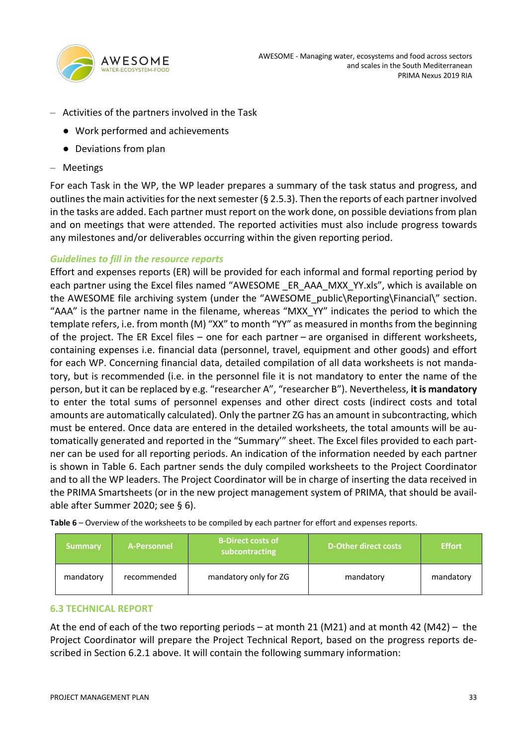

- Activities of the partners involved in the Task
	- Work performed and achievements
	- Deviations from plan
- Meetings

For each Task in the WP, the WP leader prepares a summary of the task status and progress, and outlines the main activities for the next semester ( $\S$  2.5.3). Then the reports of each partner involved in the tasks are added. Each partner must report on the work done, on possible deviations from plan and on meetings that were attended. The reported activities must also include progress towards any milestones and/or deliverables occurring within the given reporting period.

### *Guidelines to fill in the resource reports*

Effort and expenses reports (ER) will be provided for each informal and formal reporting period by each partner using the Excel files named "AWESOME ER AAA MXX YY.xls", which is available on the AWESOME file archiving system (under the "AWESOME\_public\Reporting\Financial\" section. "AAA" is the partner name in the filename, whereas "MXX\_YY" indicates the period to which the template refers, i.e. from month (M) "XX" to month "YY" as measured in months from the beginning of the project. The ER Excel files – one for each partner – are organised in different worksheets, containing expenses i.e. financial data (personnel, travel, equipment and other goods) and effort for each WP. Concerning financial data, detailed compilation of all data worksheets is not mandatory, but is recommended (i.e. in the personnel file it is not mandatory to enter the name of the person, but it can be replaced by e.g. "researcher A", "researcher B"). Nevertheless, **it is mandatory** to enter the total sums of personnel expenses and other direct costs (indirect costs and total amounts are automatically calculated). Only the partner ZG has an amount in subcontracting, which must be entered. Once data are entered in the detailed worksheets, the total amounts will be automatically generated and reported in the "Summary'" sheet. The Excel files provided to each partner can be used for all reporting periods. An indication of the information needed by each partner is shown in Table 6. Each partner sends the duly compiled worksheets to the Project Coordinator and to all the WP leaders. The Project Coordinator will be in charge of inserting the data received in the PRIMA Smartsheets (or in the new project management system of PRIMA, that should be available after Summer 2020; see § 6).

**Table 6** – Overview of the worksheets to be compiled by each partner for effort and expenses reports.

| Summary   | A-Personnel | <b>B-Direct costs of</b><br>subcontracting | D-Other direct costs | <b>Effort</b> |
|-----------|-------------|--------------------------------------------|----------------------|---------------|
| mandatory | recommended | mandatory only for ZG                      | mandatory            | mandatory     |

### **6.3 TECHNICAL REPORT**

At the end of each of the two reporting periods – at month 21 (M21) and at month 42 (M42) – the Project Coordinator will prepare the Project Technical Report, based on the progress reports described in Section 6.2.1 above. It will contain the following summary information: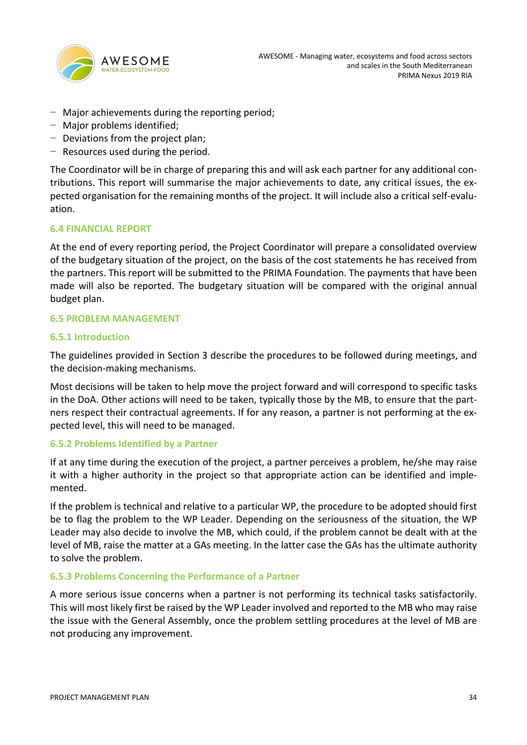

- − Major achievements during the reporting period;
- − Major problems identified;
- − Deviations from the project plan;
- − Resources used during the period.

The Coordinator will be in charge of preparing this and will ask each partner for any additional contributions. This report will summarise the major achievements to date, any critical issues, the expected organisation for the remaining months of the project. It will include also a critical self-evaluation.

### **6.4 FINANCIAL REPORT**

At the end of every reporting period, the Project Coordinator will prepare a consolidated overview of the budgetary situation of the project, on the basis of the cost statements he has received from the partners. This report will be submitted to the PRIMA Foundation. The payments that have been made will also be reported. The budgetary situation will be compared with the original annual budget plan.

### **6.5 PROBLEM MANAGEMENT**

### **6.5.1 Introduction**

The guidelines provided in Section 3 describe the procedures to be followed during meetings, and the decision-making mechanisms.

Most decisions will be taken to help move the project forward and will correspond to specific tasks in the DoA. Other actions will need to be taken, typically those by the MB, to ensure that the partners respect their contractual agreements. If for any reason, a partner is not performing at the expected level, this will need to be managed.

### **6.5.2 Problems Identified by a Partner**

If at any time during the execution of the project, a partner perceives a problem, he/she may raise it with a higher authority in the project so that appropriate action can be identified and implemented.

If the problem is technical and relative to a particular WP, the procedure to be adopted should first be to flag the problem to the WP Leader. Depending on the seriousness of the situation, the WP Leader may also decide to involve the MB, which could, if the problem cannot be dealt with at the level of MB, raise the matter at a GAs meeting. In the latter case the GAs has the ultimate authority to solve the problem.

### **6.5.3 Problems Concerning the Performance of a Partner**

A more serious issue concerns when a partner is not performing its technical tasks satisfactorily. This will most likely first be raised by the WP Leader involved and reported to the MB who may raise the issue with the General Assembly, once the problem settling procedures at the level of MB are not producing any improvement.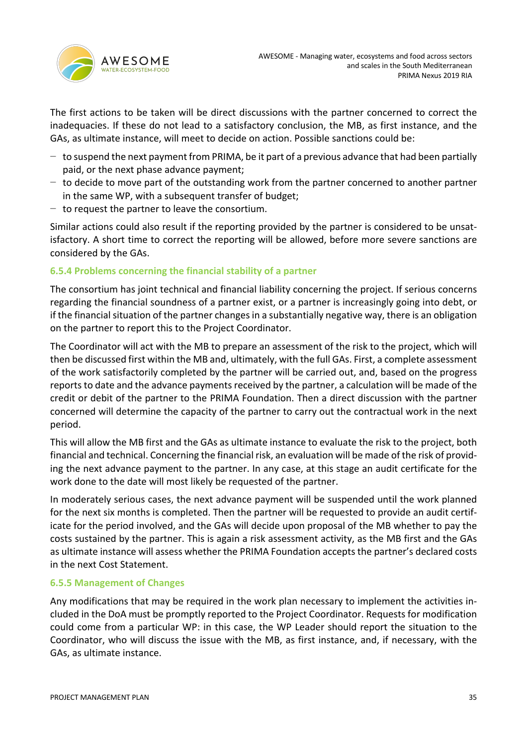

The first actions to be taken will be direct discussions with the partner concerned to correct the inadequacies. If these do not lead to a satisfactory conclusion, the MB, as first instance, and the GAs, as ultimate instance, will meet to decide on action. Possible sanctions could be:

- − to suspend the next payment from PRIMA, be it part of a previous advance that had been partially paid, or the next phase advance payment;
- − to decide to move part of the outstanding work from the partner concerned to another partner in the same WP, with a subsequent transfer of budget;
- − to request the partner to leave the consortium.

Similar actions could also result if the reporting provided by the partner is considered to be unsatisfactory. A short time to correct the reporting will be allowed, before more severe sanctions are considered by the GAs.

### **6.5.4 Problems concerning the financial stability of a partner**

The consortium has joint technical and financial liability concerning the project. If serious concerns regarding the financial soundness of a partner exist, or a partner is increasingly going into debt, or if the financial situation of the partner changes in a substantially negative way, there is an obligation on the partner to report this to the Project Coordinator.

The Coordinator will act with the MB to prepare an assessment of the risk to the project, which will then be discussed first within the MB and, ultimately, with the full GAs. First, a complete assessment of the work satisfactorily completed by the partner will be carried out, and, based on the progress reports to date and the advance payments received by the partner, a calculation will be made of the credit or debit of the partner to the PRIMA Foundation. Then a direct discussion with the partner concerned will determine the capacity of the partner to carry out the contractual work in the next period.

This will allow the MB first and the GAs as ultimate instance to evaluate the risk to the project, both financial and technical. Concerning the financial risk, an evaluation will be made of the risk of providing the next advance payment to the partner. In any case, at this stage an audit certificate for the work done to the date will most likely be requested of the partner.

In moderately serious cases, the next advance payment will be suspended until the work planned for the next six months is completed. Then the partner will be requested to provide an audit certificate for the period involved, and the GAs will decide upon proposal of the MB whether to pay the costs sustained by the partner. This is again a risk assessment activity, as the MB first and the GAs as ultimate instance will assess whether the PRIMA Foundation accepts the partner's declared costs in the next Cost Statement.

### **6.5.5 Management of Changes**

Any modifications that may be required in the work plan necessary to implement the activities included in the DoA must be promptly reported to the Project Coordinator. Requests for modification could come from a particular WP: in this case, the WP Leader should report the situation to the Coordinator, who will discuss the issue with the MB, as first instance, and, if necessary, with the GAs, as ultimate instance.